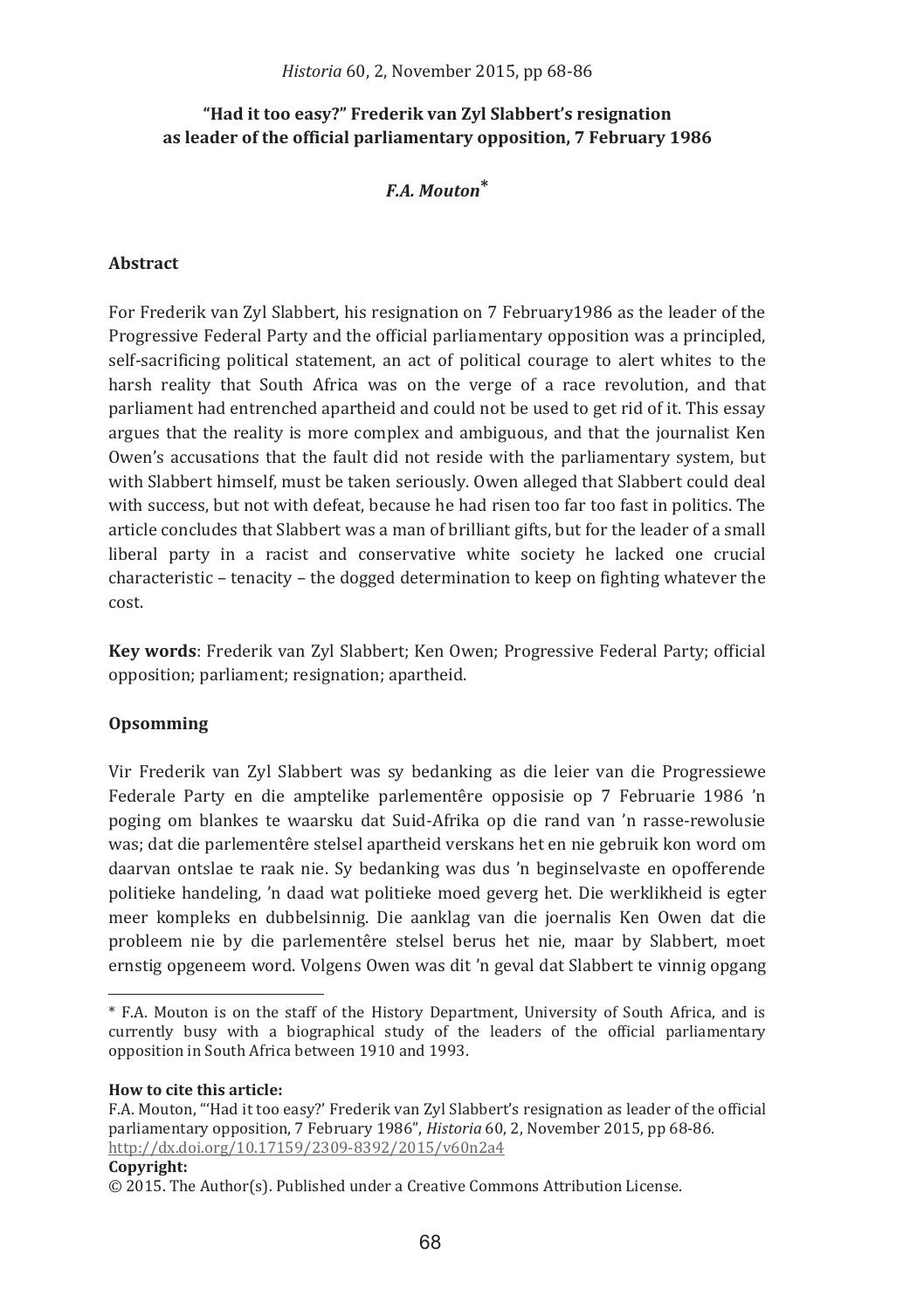## "Had it too easy?" Frederik van Zyl Slabbert's resignation as leader of the official parliamentary opposition, 7 February 1986

## $F A$  Mouton<sup>\*</sup>

### Ahetract

For Frederik van Zyl Slabbert, his resignation on 7 February 1986 as the leader of the Progressive Federal Party and the official parliamentary opposition was a principled. self-sacrificing political statement, an act of political courage to alert whites to the harsh reality that South Africa was on the verge of a race revolution, and that parliament had entrenched apartheid and could not be used to get rid of it. This essay argues that the reality is more complex and ambiguous, and that the journalist Ken Owen's accusations that the fault did not reside with the parliamentary system, but with Slabbert himself, must be taken seriously. Owen alleged that Slabbert could deal with success, but not with defeat, because he had risen too far too fast in politics. The article concludes that Slabbert was a man of brilliant gifts, but for the leader of a small liberal party in a racist and conservative white society he lacked one crucial characteristic – tenacity – the dogged determination to keep on fighting whatever the cost.

Key words: Frederik van Zyl Slabbert; Ken Owen; Progressive Federal Party; official opposition; parliament; resignation; apartheid.

## Opsomming

Vir Frederik van Zvl Slabbert was sv bedanking as die leier van die Progressiewe Federale Party en die amptelike parlementêre opposisie op 7 Februarie 1986 'n poging om blankes te waarsku dat Suid-Afrika op die rand van 'n rasse-rewolusie was; dat die parlementêre stelsel apartheid verskans het en nie gebruik kon word om daarvan ontslae te raak nie. Sy bedanking was dus 'n beginselvaste en opofferende politieke handeling, 'n daad wat politieke moed geverg het. Die werklikheid is egter meer kompleks en dubbelsinnig. Die aanklag van die joernalis Ken Owen dat die probleem nie by die parlementêre stelsel berus het nie, maar by Slabbert, moet ernstig opgeneem word. Volgens Owen was dit 'n geval dat Slabbert te vinnig opgang

How to cite this article:

#### Copyright:

<sup>\*</sup> F.A. Mouton is on the staff of the History Department. University of South Africa, and is currently busy with a biographical study of the leaders of the official parliamentary opposition in South Africa between 1910 and 1993.

F.A. Mouton. "Had it too easy?' Frederik van Zyl Slabbert's resignation as leader of the official parliamentary opposition. 7 February 1986". Historia 60, 2. November 2015, pp 68-86. http://dx.doi.org/10.17159/2309-8392/2015/v60n2a4

 $\odot$  2015. The Author(s). Published under a Creative Commons Attribution License.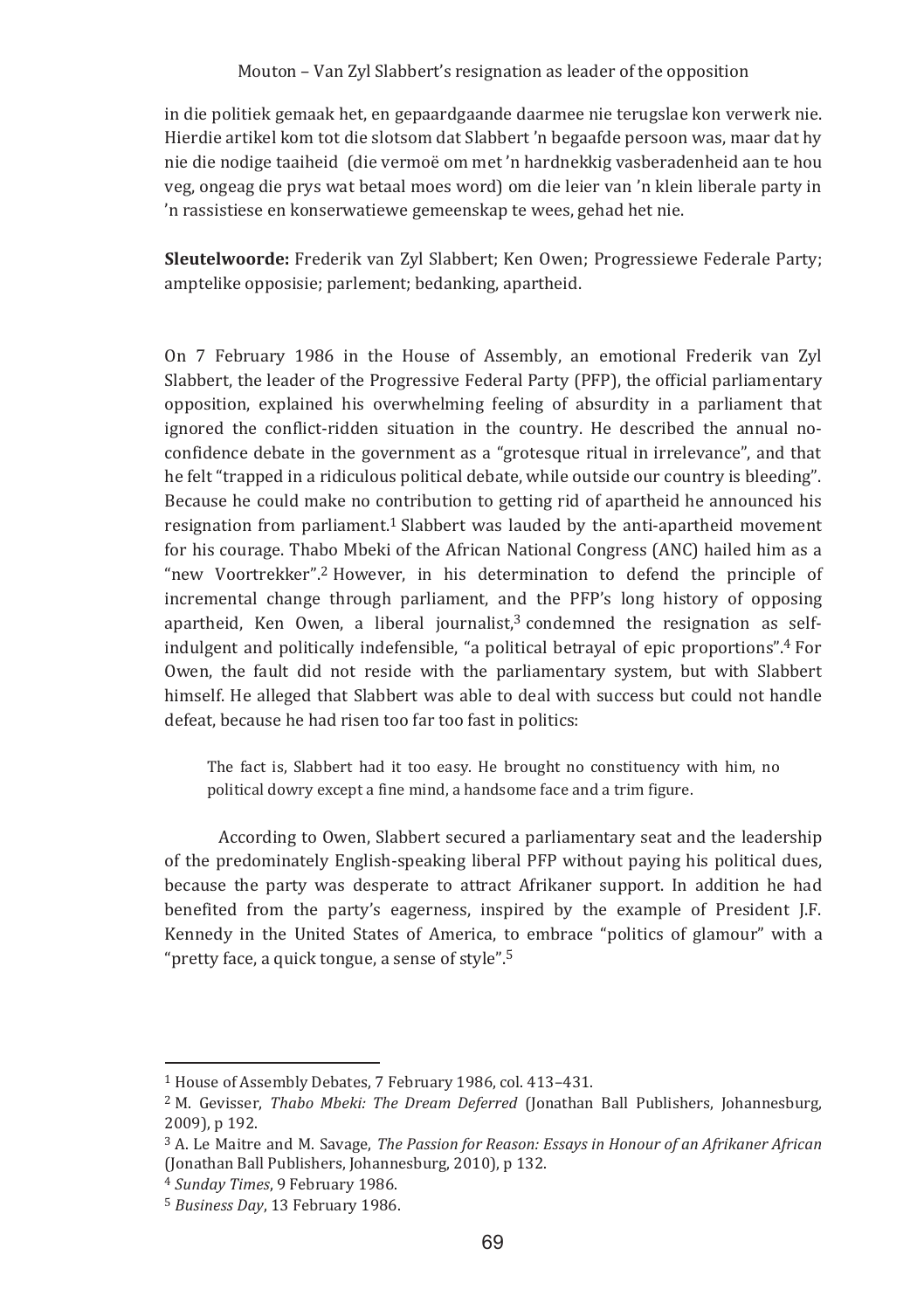in die politiek gemaak het, en gepaardgaande daarmee nie terugslae kon verwerk nie. Hierdie artikel kom tot die slotsom dat Slabbert 'n begaafde persoon was, maar dat hy nie die nodige taaiheid (die vermoë om met 'n hardnekkig vasberadenheid aan te hou yeg, ongeag die prys wat betaal moes word) om die leier van 'n klein liberale party in 'n rassistiese en konserwatiewe gemeenskap te wees, gehad het nie.

Sleutelwoorde: Frederik van Zyl Slabbert; Ken Owen; Progressiewe Federale Party; amptelike opposisie: parlement: bedanking, apartheid.

On 7 February 1986 in the House of Assembly, an emotional Frederik van Zyl Slabbert, the leader of the Progressive Federal Party (PFP), the official parliamentary opposition, explained his overwhelming feeling of absurdity in a parliament that ignored the conflict-ridden situation in the country. He described the annual noconfidence debate in the government as a "grotesque ritual in irrelevance", and that he felt "trapped in a ridiculous political debate, while outside our country is bleeding". Because he could make no contribution to getting rid of apartheid he announced his resignation from parliament.<sup>1</sup> Slabbert was lauded by the anti-apartheid movement for his courage. Thabo Mbeki of the African National Congress (ANC) hailed him as a "new Voortrekker".<sup>2</sup> However, in his determination to defend the principle of incremental change through parliament, and the PFP's long history of opposing apartheid, Ken Owen, a liberal journalist,<sup>3</sup> condemned the resignation as selfindulgent and politically indefensible, "a political betrayal of epic proportions".<sup>4</sup> For Owen, the fault did not reside with the parliamentary system, but with Slabbert himself. He alleged that Slabbert was able to deal with success but could not handle defeat, because he had risen too far too fast in politics:

The fact is, Slabbert had it too easy. He brought no constituency with him, no political dowry except a fine mind, a handsome face and a trim figure.

According to Owen, Slabbert secured a parliamentary seat and the leadership of the predominately English-speaking liberal PFP without paying his political dues, because the party was desperate to attract Afrikaner support. In addition he had benefited from the party's eagerness, inspired by the example of President J.F. Kennedy in the United States of America, to embrace "politics of glamour" with a "pretty face, a quick tongue, a sense of style".<sup>5</sup>

<sup>&</sup>lt;sup>1</sup> House of Assembly Debates, 7 February 1986, col. 413-431.

<sup>&</sup>lt;sup>2</sup> M. Gevisser, *Thabo Mbeki: The Dream Deferred* (Jonathan Ball Publishers, Johannesburg, 2009), p 192.

<sup>&</sup>lt;sup>3</sup> A. Le Maitre and M. Savage, The Passion for Reason: Essays in Honour of an Afrikaner African (Jonathan Ball Publishers, Johannesburg, 2010), p 132.

<sup>&</sup>lt;sup>4</sup> Sunday Times, 9 February 1986.

<sup>&</sup>lt;sup>5</sup> Business Day, 13 February 1986.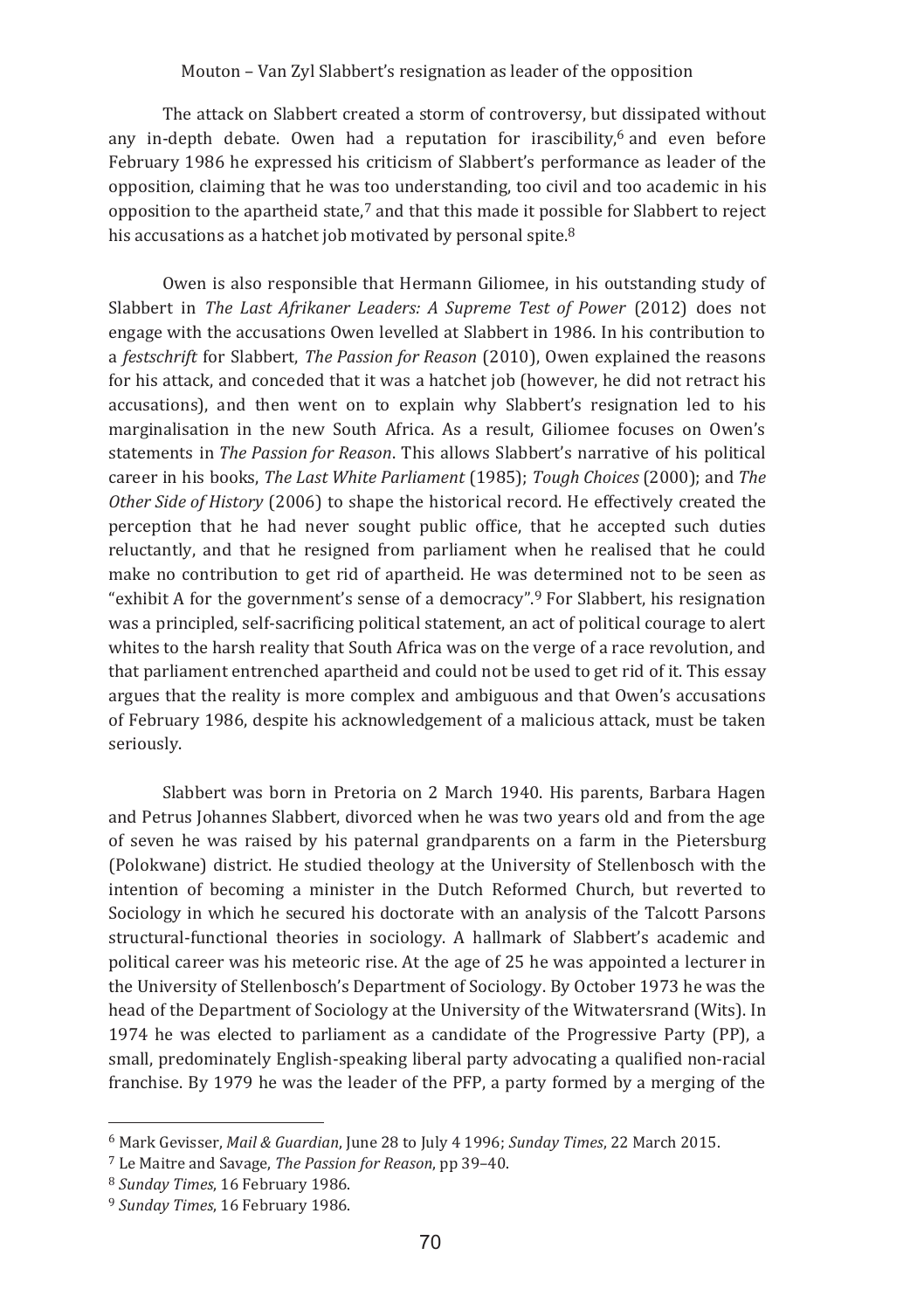The attack on Slabbert created a storm of controversy, but dissipated without any in-depth debate. Owen had a reputation for irascibility,<sup>6</sup> and even before February 1986 he expressed his criticism of Slabbert's performance as leader of the opposition, claiming that he was too understanding, too civil and too academic in his opposition to the apartheid state,' and that this made it possible for Slabbert to reject his accusations as a hatchet job motivated by personal spite.<sup>8</sup>

Owen is also responsible that Hermann Gillomee, in his outstanding study of Slabbert in *The Last Afrikaner Leaders: A Supreme Test of Power* (2012) does not engage with the accusations Owen levelled at Slabbert in 1986. In his contribution to a *festschrift* for Slabbert, *The Passion for Reason* (2010), Owen explained the reasons for his attack, and conceded that it was a hatchet job (however, he did not retract his accusations), and then went on to explain why Slabbert's resignation led to his marginalisation in the new South Africa. As a result, Gillomee focuses on Owen's statements in *The Passion for Reason*. This allows Slabbert's narrative of his political career in his books, The Last White Parliament (1985); Tough Choices (2000); and The *Other Side of History* (2006) to shape the historical record. He effectively created the perception that he had never sought public office, that he accepted such duties reluctantly, and that he resigned from parliament when he realised that he could make no contribution to get rid of apartheid. He was determined not to be seen as exhibit A for the government's sense of a democracy".<sup>9</sup> For Slabbert, his resignation" was a principled, self-sacrificing political statement, an act of political courage to alert whites to the harsh reality that South Africa was on the verge of a race revolution, and that parliament entrenched apartheid and could not be used to get rid of it. This essay argues that the reality is more complex and ambiguous and that Owen's accusations of February 1986, despite his acknowledgement of a malicious attack, must be taken seriously.

Slabbert was born in Pretoria on 2 March 1940. His parents, Barbara Hagen and Petrus Johannes Slabbert, divorced when he was two years old and from the age of seven he was raised by his paternal grandparents on a farm in the Pietersburg (Polokwane) district. He studied theology at the University of Stellenbosch with the intention of becoming a minister in the Dutch Reformed Church, but reverted to Sociology in which he secured his doctorate with an analysis of the Talcott Parsons structural-functional theories in sociology. A hallmark of Slabbert's academic and political career was his meteoric rise. At the age of 25 he was appointed a lecturer in the University of Stellenbosch's Department of Sociology. By October 1973 he was the head of the Department of Sociology at the University of the Witwatersrand (Wits). In 1974 he was elected to parliament as a candidate of the Progressive Party (PP), a small, predominately English-speaking liberal party advocating a qualified non-racial franchise. By 1979 he was the leader of the PFP, a party formed by a merging of the

<sup>&</sup>lt;sup>6</sup> Mark Gevisser, *Mail & Guardian*, June 28 to July 4 1996; Sunday Times, 22 March 2015.

<sup>&</sup>lt;sup>7</sup> Le Maitre and Savage, *The Passion for Reason*, pp 39-40.

<sup>&</sup>lt;sup>8</sup> Sunday Times, 16 February 1986.

<sup>&</sup>lt;sup>9</sup> Sunday Times, 16 February 1986.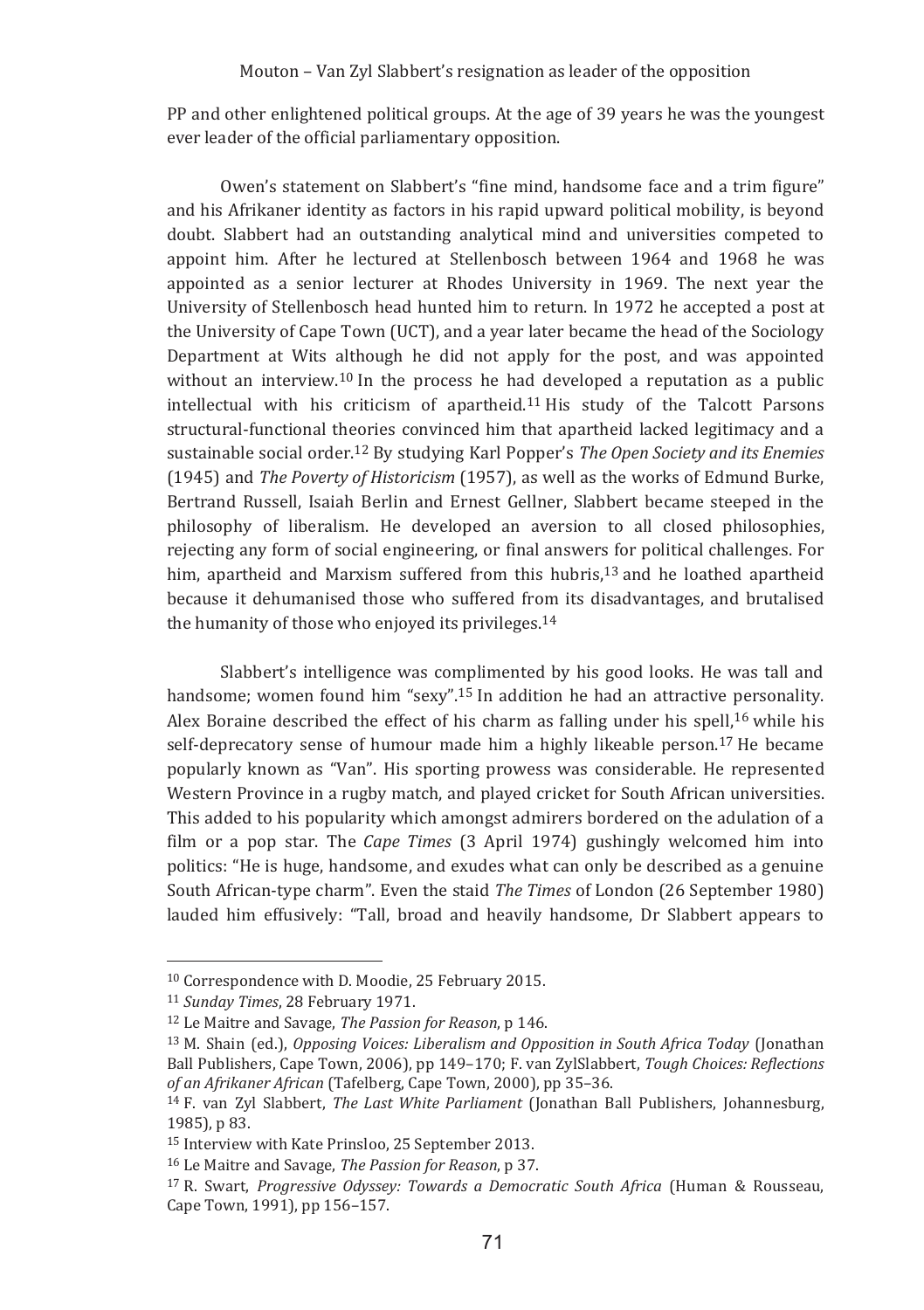PP and other enlightened political groups. At the age of 39 years he was the youngest ever leader of the official parliamentary opposition.

Owen's statement on Slabbert's "fine mind, handsome face and a trim figure" and his Afrikaner identity as factors in his rapid upward political mobility, is beyond doubt. Slabbert had an outstanding analytical mind and universities competed to appoint him. After he lectured at Stellenbosch between 1964 and 1968 he was appointed as a senior lecturer at Rhodes University in 1969. The next year the University of Stellenbosch head hunted him to return. In 1972 he accepted a post at the University of Cape Town (UCT), and a year later became the head of the Sociology Department at Wits although he did not apply for the post, and was appointed without an interview.<sup>10</sup> In the process he had developed a reputation as a public intellectual with his criticism of apartheid.<sup>11</sup> His study of the Talcott Parsons structural-functional theories convinced him that apartheid lacked legitimacy and a sustainable social order.<sup>12</sup> By studying Karl Popper's *The Open Society and its Enemies* (1945) and The Poverty of Historicism (1957), as well as the works of Edmund Burke, Bertrand Russell, Isaiah Berlin and Ernest Gellner, Slabbert became steeped in the philosophy of liberalism. He developed an aversion to all closed philosophies. rejecting any form of social engineering, or final answers for political challenges. For him, apartheid and Marxism suffered from this hubris,<sup>13</sup> and he loathed apartheid because it dehumanised those who suffered from its disadvantages, and brutalised the humanity of those who enjoyed its privileges.<sup>14</sup>

Slabbert's intelligence was complimented by his good looks. He was tall and handsome; women found him "sexy".<sup>15</sup> In addition he had an attractive personality. Alex Boraine described the effect of his charm as falling under his spell.<sup>16</sup> while his self-deprecatory sense of humour made him a highly likeable person.<sup>17</sup> He became popularly known as "Van". His sporting prowess was considerable. He represented Western Province in a rugby match, and played cricket for South African universities. This added to his popularity which amongst admirers bordered on the adulation of a film or a pop star. The *Cape Times* (3 April 1974) gushingly welcomed him into politics: "He is huge, handsome, and exudes what can only be described as a genuine South African-type charm". Even the staid The Times of London (26 September 1980) lauded him effusively: "Tall, broad and heavily handsome, Dr Slabbert appears to

<sup>&</sup>lt;sup>10</sup> Correspondence with D. Moodie, 25 February 2015.

<sup>&</sup>lt;sup>11</sup> Sunday Times, 28 February 1971.

<sup>&</sup>lt;sup>12</sup> Le Maitre and Savage. The Passion for Reason, p 146.

<sup>&</sup>lt;sup>13</sup> M. Shain (ed.), Opposing Voices: Liberalism and Opposition in South Africa Today (Jonathan Ball Publishers, Cape Town, 2006), pp 149-170; F. van ZylSlabbert, Tough Choices: Reflections of an Afrikaner African (Tafelberg, Cape Town, 2000), pp 35-36.

<sup>&</sup>lt;sup>14</sup> F. van Zyl Slabbert, The Last White Parliament (Jonathan Ball Publishers, Johannesburg, 1985), p 83.

<sup>&</sup>lt;sup>15</sup> Interview with Kate Prinsloo, 25 September 2013.

<sup>&</sup>lt;sup>16</sup> Le Maitre and Savage. The Passion for Reason, p 37.

<sup>&</sup>lt;sup>17</sup> R. Swart, *Progressive Odyssey: Towards a Democratic South Africa* (Human & Rousseau, Cape Town, 1991), pp 156-157.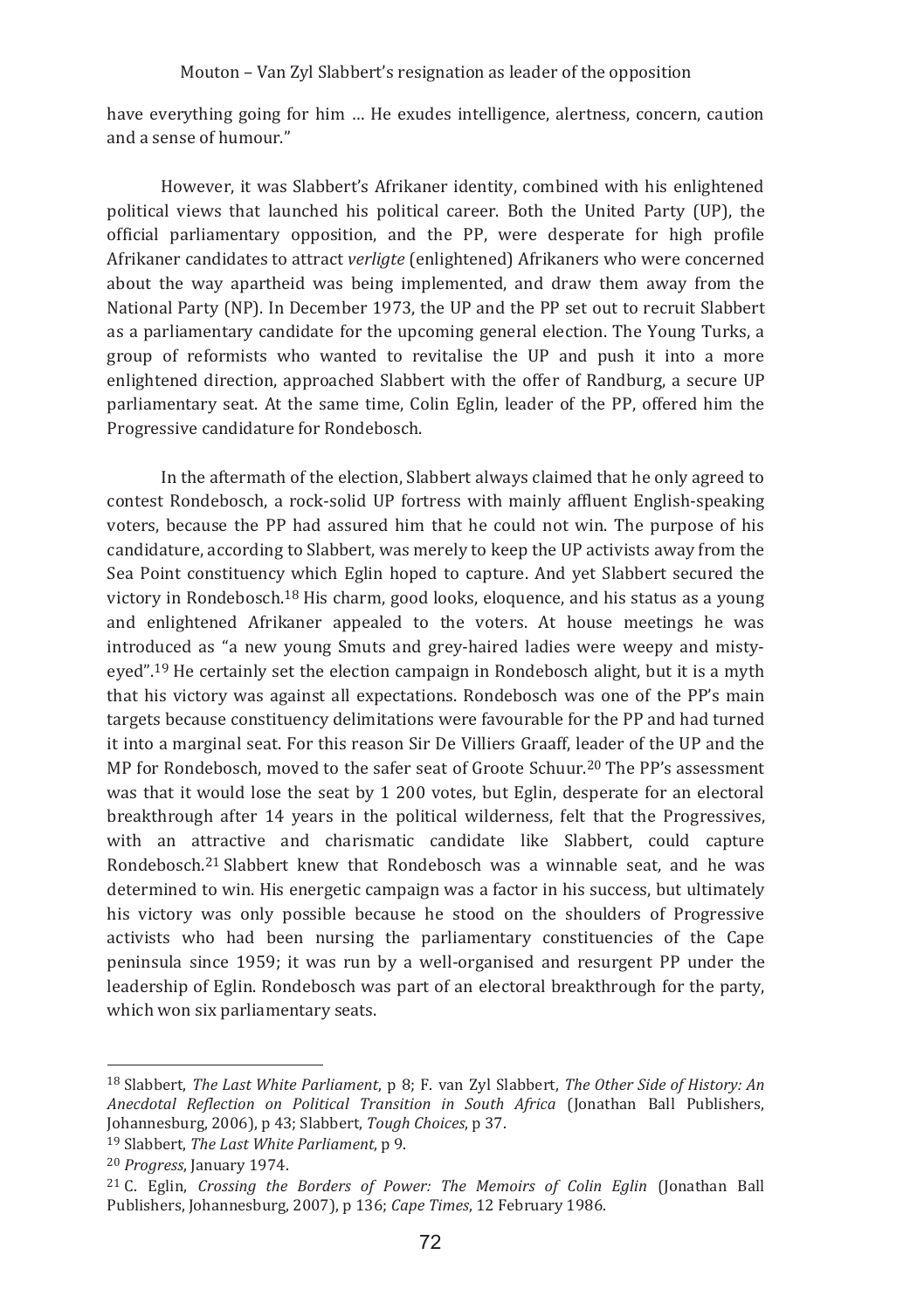have everything going for him … He exudes intelligence, alertness, concern, caution and a sense of humour."

However, it was Slabbert's Afrikaner identity, combined with his enlightened political views that launched his political career. Both the United Party (UP), the official parliamentary opposition, and the PP, were desperate for high profile Afrikaner candidates to attract *verligte* (enlightened) Afrikaners who were concerned about the way apartheid was being implemented, and draw them away from the National Party (NP). In December 1973, the UP and the PP set out to recruit Slabbert as a parliamentary candidate for the upcoming general election. The Young Turks, a group of reformists who wanted to revitalise the UP and push it into a more enlightened direction, approached Slabbert with the offer of Randburg, a secure UP parliamentary seat. At the same time, Colin Eglin, leader of the PP, offered him the Progressive candidature for Rondebosch.

In the aftermath of the election, Slabbert always claimed that he only agreed to contest Rondebosch, a rock-solid UP fortress with mainly affluent English-speaking voters, because the PP had assured him that he could not win. The purpose of his candidature, according to Slabbert, was merely to keep the UP activists away from the Sea Point constituency which Eglin hoped to capture. And yet Slabbert secured the victory in Rondebosch.<sup>18</sup> His charm, good looks, eloquence, and his status as a young and enlightened Afrikaner appealed to the voters. At house meetings he was introduced as "a new young Smuts and grey-haired ladies were weepy and mistyeyed".<sup>19</sup> He certainly set the election campaign in Rondebosch alight, but it is a myth that his victory was against all expectations. Rondebosch was one of the PP's main targets because constituency delimitations were favourable for the PP and had turned it into a marginal seat. For this reason Sir De Villiers Graaff, leader of the UP and the MP for Rondebosch, moved to the safer seat of Groote Schuur.<sup>20</sup> The PP's assessment was that it would lose the seat by 1 200 votes, but Eglin, desperate for an electoral breakthrough after 14 years in the political wilderness, felt that the Progressives, with an attractive and charismatic candidate like Slabbert, could capture Rondebosch.<sup>21</sup> Slabbert knew that Rondebosch was a winnable seat, and he was determined to win. His energetic campaign was a factor in his success, but ultimately his victory was only possible because he stood on the shoulders of Progressive activists who had been nursing the parliamentary constituencies of the Cape peninsula since 1959; it was run by a well-organised and resurgent PP under the leadership of Eglin. Rondebosch was part of an electoral breakthrough for the party, which won six parliamentary seats.

<sup>19</sup> Slabbert, *The Last White Parliament*, p 9.

<sup>&</sup>lt;sup>18</sup> Slabbert, The Last White Parliament, p 8; F. van Zyl Slabbert, The Other Side of History: An *Anecdotal Reflection on Political Transition in South Africa* (Ionathan Ball Publishers, Johannesburg, 2006), p 43; Slabbert, Tough Choices, p 37.

<sup>&</sup>lt;sup>20</sup> Progress, January 1974.

<sup>&</sup>lt;sup>21</sup> C. Eglin. Crossing the Borders of Power: The Memoirs of Colin Eglin (Jonathan Ball Publishers, Johannesburg, 2007), p 136; Cape Times, 12 February 1986.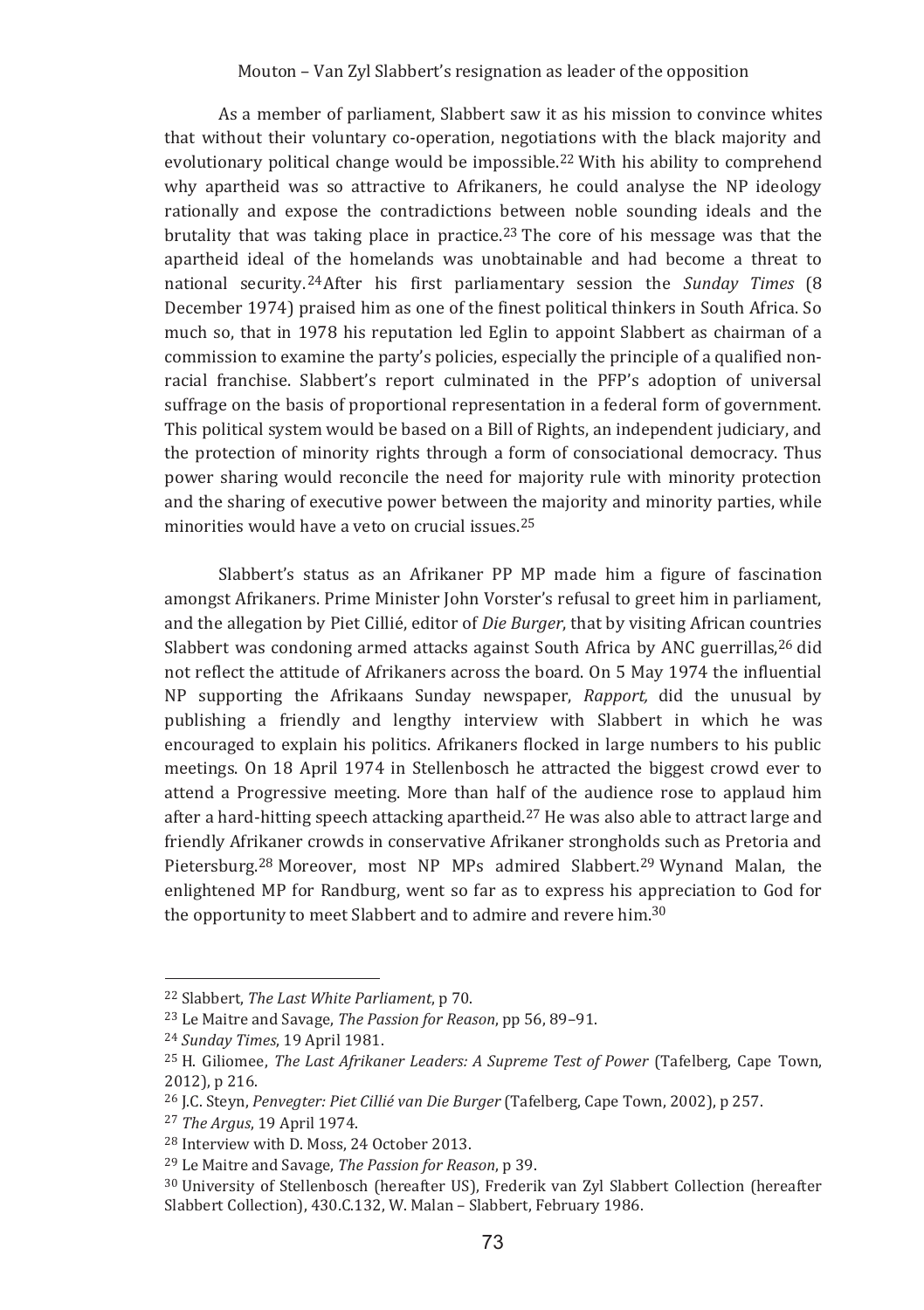As a member of parliament, Slabbert saw it as his mission to convince whites that without their voluntary co-operation, negotiations with the black majority and evolutionary political change would be impossible.<sup>22</sup> With his ability to comprehend why apartheid was so attractive to Afrikaners, he could analyse the NP ideology  $\,$ rationally and expose the contradictions between noble sounding ideals and the brutality that was taking place in practice.<sup>23</sup> The core of his message was that the apartheid ideal of the homelands was unobtainable and had become a threat to national security.<sup>24</sup>After his first parliamentary session the *Sunday Times* (8 December 1974) praised him as one of the finest political thinkers in South Africa. So much so, that in 1978 his reputation led Eglin to appoint Slabbert as chairman of a commission to examine the party's policies, especially the principle of a qualified nonracial franchise. Slabbert's report culminated in the PFP's adoption of universal suffrage on the basis of proportional representation in a federal form of government. This political system would be based on a Bill of Rights, an independent judiciary, and the protection of minority rights through a form of consociational democracy. Thus power sharing would reconcile the need for majority rule with minority protection and the sharing of executive power between the majority and minority parties, while minorities would have a veto on crucial issues.<sup>25</sup>

Slabbert's status as an Afrikaner PP MP made him a figure of fascination amongst Afrikaners. Prime Minister John Vorster's refusal to greet him in parliament, and the allegation by Piet Cillié, editor of *Die Burger*, that by visiting African countries Slabbert was condoning armed attacks against South Africa by ANC guerrillas,<sup>26</sup> did not reflect the attitude of Afrikaners across the board. On 5 May 1974 the influential NP supporting the Afrikaans Sunday newspaper, Rapport, did the unusual by publishing a friendly and lengthy interview with Slabbert in which he was encouraged to explain his politics. Afrikaners flocked in large numbers to his public meetings. On 18 April 1974 in Stellenbosch he attracted the biggest crowd ever to attend a Progressive meeting. More than half of the audience rose to applaud him after a hard-hitting speech attacking apartheid.<sup>27</sup> He was also able to attract large and friendly Afrikaner crowds in conservative Afrikaner strongholds such as Pretoria and Pietersburg.<sup>28</sup> Moreover, most NP MPs admired Slabbert.<sup>29</sup> Wynand Malan, the enlightened MP for Randburg, went so far as to express his appreciation to God for the opportunity to meet Slabbert and to admire and revere him.<sup>30</sup>

<sup>&</sup>lt;sup>22</sup> Slabbert, *The Last White Parliament*, p 70.

<sup>&</sup>lt;sup>23</sup> Le Maitre and Savage, *The Passion for Reason*, pp 56, 89-91.

<sup>&</sup>lt;sup>24</sup> Sunday Times, 19 April 1981.

<sup>&</sup>lt;sup>25</sup> H. Giliomee, *The Last Afrikaner Leaders: A Supreme Test of Power* (Tafelberg, Cape Town, 2012), p 216.

<sup>&</sup>lt;sup>26</sup> J.C. Steyn, *Penvegter: Piet Cillié van Die Burger* (Tafelberg, Cape Town, 2002), p 257.

<sup>&</sup>lt;sup>27</sup> The Argus, 19 April 1974.

<sup>&</sup>lt;sup>28</sup> Interview with D. Moss, 24 October 2013.

<sup>&</sup>lt;sup>29</sup> Le Maitre and Savage, *The Passion for Reason*, p 39.

<sup>&</sup>lt;sup>30</sup> University of Stellenbosch (hereafter US), Frederik van Zyl Slabbert Collection (hereafter Slabbert Collection), 430.C.132, W. Malan - Slabbert, February 1986.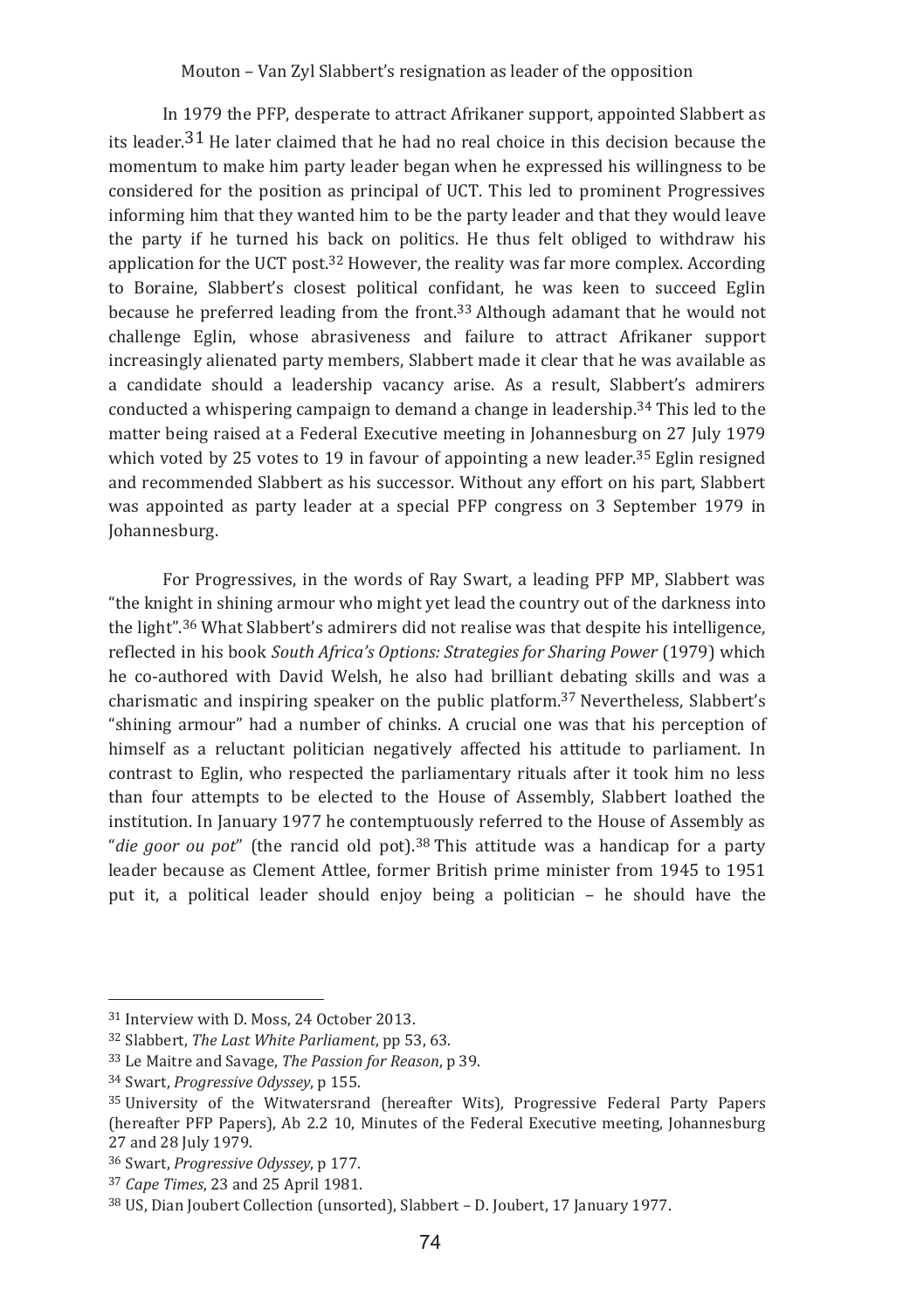In 1979 the PFP, desperate to attract Afrikaner support, appointed Slabbert as its leader.<sup>31</sup> He later claimed that he had no real choice in this decision because the momentum to make him party leader began when he expressed his willingness to be considered for the position as principal of UCT. This led to prominent Progressives informing him that they wanted him to be the party leader and that they would leave the party if he turned his back on politics. He thus felt obliged to withdraw his application for the UCT post.<sup>32</sup> However, the reality was far more complex. According to Boraine, Slabbert's closest political confidant, he was keen to succeed Eglin because he preferred leading from the front.<sup>33</sup> Although adamant that he would not challenge Eglin, whose abrasiveness and failure to attract Afrikaner support increasingly alienated party members. Slabbert made it clear that he was available as a candidate should a leadership vacancy arise. As a result, Slabbert's admirers conducted a whispering campaign to demand a change in leadership.<sup>34</sup> This led to the matter being raised at a Federal Executive meeting in Johannesburg on 27 July 1979 which voted by 25 votes to 19 in favour of appointing a new leader. $35$  Eglin resigned and recommended Slabbert as his successor. Without any effort on his part, Slabbert was appointed as party leader at a special PFP congress on 3 September 1979 in Iohannesburg.

For Progressives, in the words of Ray Swart, a leading PFP MP, Slabbert was "the knight in shining armour who might yet lead the country out of the darkness into the light".<sup>36</sup> What Slabbert's admirers did not realise was that despite his intelligence, reflected in his book South Africa's Options: Strategies for Sharing Power (1979) which he co-authored with David Welsh, he also had brilliant debating skills and was a charismatic and inspiring speaker on the public platform.<sup>37</sup> Nevertheless, Slabbert's "shining armour" had a number of chinks. A crucial one was that his perception of himself as a reluctant politician negatively affected his attitude to parliament. In contrast to Eglin, who respected the parliamentary rituals after it took him no less than four attempts to be elected to the House of Assembly, Slabbert loathed the institution. In January 1977 he contemptuously referred to the House of Assembly as "die goor ou pot" (the rancid old pot).<sup>38</sup> This attitude was a handicap for a party leader because as Clement Attlee, former British prime minister from 1945 to 1951 put it, a political leader should enjoy being a politician - he should have the

<sup>&</sup>lt;sup>31</sup> Interview with D. Moss. 24 October 2013.

<sup>&</sup>lt;sup>32</sup> Slabbert, *The Last White Parliament*, pp 53, 63.

<sup>&</sup>lt;sup>33</sup> Le Maitre and Savage, *The Passion for Reason*, p 39.

<sup>&</sup>lt;sup>34</sup> Swart, *Progressive Odyssev*, p 155.

<sup>&</sup>lt;sup>35</sup> University of the Witwatersrand (hereafter Wits), Progressive Federal Party Papers (hereafter PFP Papers), Ab 2.2 10, Minutes of the Federal Executive meeting, Johannesburg 27 and 28 July 1979.

<sup>&</sup>lt;sup>36</sup> Swart, *Progressive Odyssev*, p 177.

<sup>&</sup>lt;sup>37</sup> Cape Times, 23 and 25 April 1981.

<sup>&</sup>lt;sup>38</sup> US, Dian Joubert Collection (unsorted), Slabbert - D. Joubert, 17 January 1977.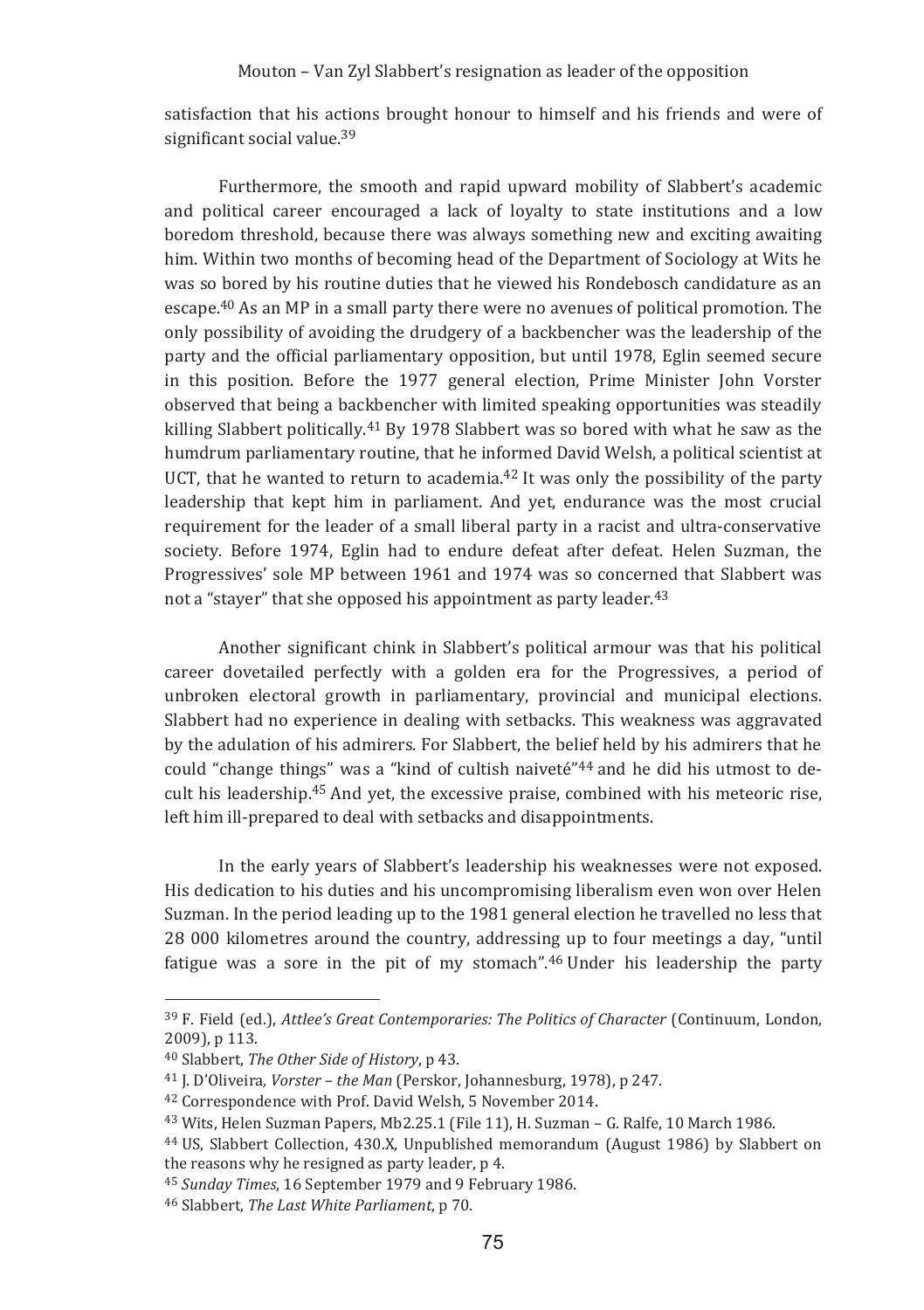satisfaction that his actions brought honour to himself and his friends and were of significant social value.<sup>39</sup>

Furthermore, the smooth and rapid upward mobility of Slabbert's academic and political career encouraged a lack of lovalty to state institutions and a low boredom threshold, because there was always something new and exciting awaiting him. Within two months of becoming head of the Department of Sociology at Wits he was so bored by his routine duties that he viewed his Rondebosch candidature as an escape.<sup>40</sup> As an MP in a small party there were no avenues of political promotion. The only possibility of avoiding the drudgery of a backbencher was the leadership of the party and the official parliamentary opposition, but until 1978. Eglin seemed secure in this position. Before the 1977 general election. Prime Minister John Vorster observed that being a backbencher with limited speaking opportunities was steadily killing Slabbert politically.<sup>41</sup> By 1978 Slabbert was so bored with what he saw as the humdrum parliamentary routine, that he informed David Welsh, a political scientist at UCT, that he wanted to return to academia.<sup>42</sup> It was only the possibility of the party leadership that kept him in parliament. And yet, endurance was the most crucial requirement for the leader of a small liberal party in a racist and ultra-conservative society. Before 1974, Eglin had to endure defeat after defeat. Helen Suzman, the Progressives' sole MP between 1961 and 1974 was so concerned that Slabbert was not a "stayer" that she opposed his appointment as party leader.<sup>43</sup>

Another significant chink in Slabbert's political armour was that his political career dovetailed perfectly with a golden era for the Progressives, a period of unbroken electoral growth in parliamentary, provincial and municipal elections. Slabbert had no experience in dealing with setbacks. This weakness was aggravated by the adulation of his admirers. For Slabbert, the belief held by his admirers that he could "change things" was a "kind of cultish naiveté"<sup>44</sup> and he did his utmost to decult his leadership.<sup>45</sup> And vet, the excessive praise, combined with his meteoric rise. left him ill-prepared to deal with setbacks and disappointments.

In the early years of Slabbert's leadership his weaknesses were not exposed. His dedication to his duties and his uncompromising liberalism even won over Helen Suzman. In the period leading up to the 1981 general election he travelled no less that 28 000 kilometres around the country, addressing up to four meetings a day, "until fatigue was a sore in the pit of my stomach".<sup>46</sup> Under his leadership the party

<sup>&</sup>lt;sup>39</sup> F. Field (ed.), *Attlee's Great Contemporaries: The Politics of Character* (Continuum, London, 2009). p 113.

<sup>&</sup>lt;sup>40</sup> Slabbert, The Other Side of History, p 43.

<sup>&</sup>lt;sup>41</sup> I. D'Oliveira. *Vorster – the Man* (Perskor, Johannesburg, 1978), p 247.

<sup>&</sup>lt;sup>42</sup> Correspondence with Prof. David Welsh, 5 November 2014.

<sup>&</sup>lt;sup>43</sup> Wits, Helen Suzman Papers, Mb2.25.1 (File 11), H. Suzman - G. Ralfe, 10 March 1986.

<sup>&</sup>lt;sup>44</sup> US, Slabbert Collection, 430.X, Unpublished memorandum (August 1986) by Slabbert on the reasons why he resigned as party leader, p 4.

<sup>&</sup>lt;sup>45</sup> Sunday Times, 16 September 1979 and 9 February 1986.

<sup>&</sup>lt;sup>46</sup> Slabbert, The Last White Parliament, p 70.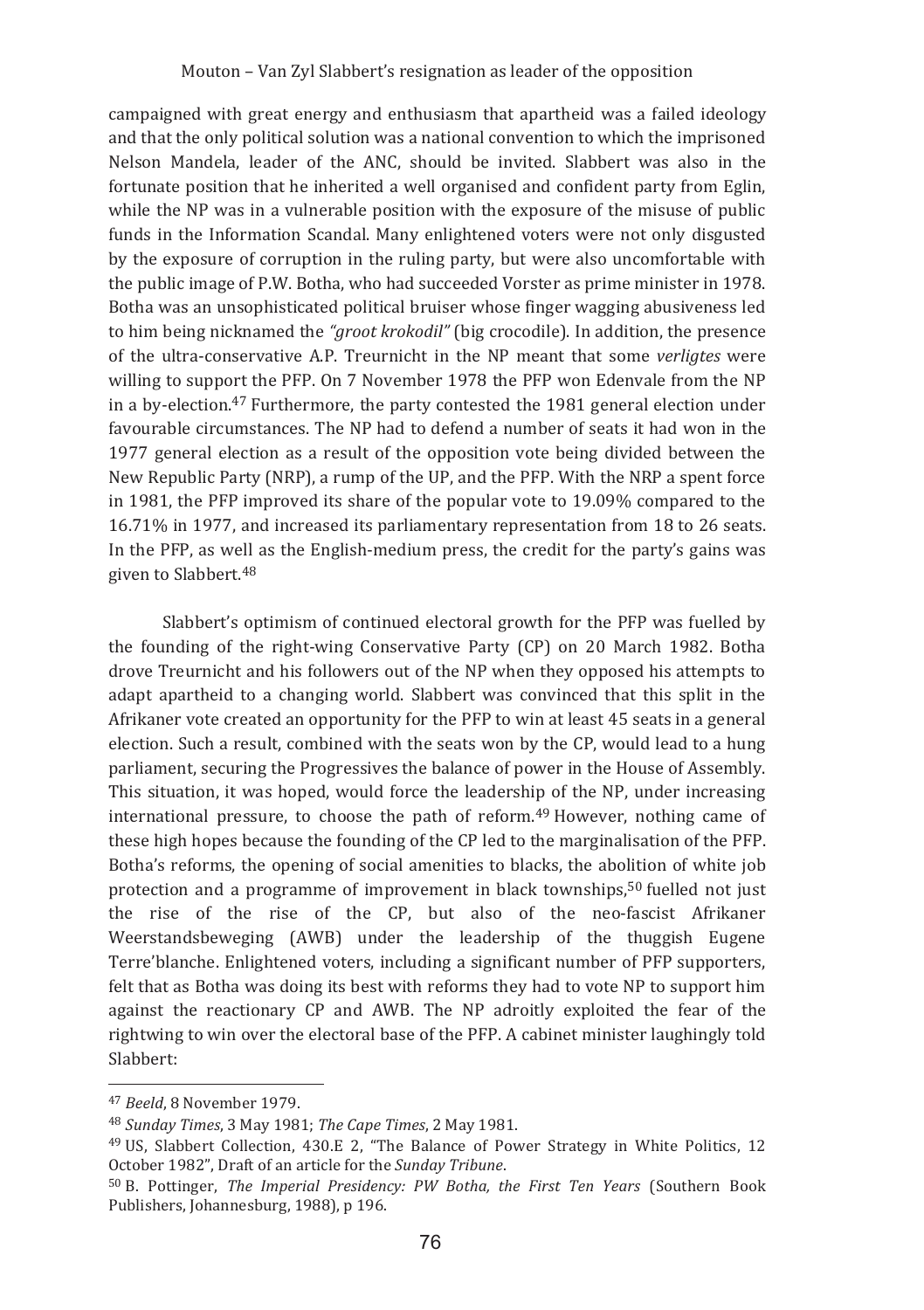campaigned with great energy and enthusiasm that apartheid was a failed ideology and that the only political solution was a hational convention to which the imprisoned Nelson Mandela, leader of the ANC, should be invited. Slabbert was also in the fortunate position that he inherited a well organised and confident party from Eglin, while the NP was in a vulnerable position with the exposure of the misuse of public funds in the Information Scandal. Many enlightened voters were not only disgusted by the exposure of corruption in the ruling party, but were also uncomfortable with the public image of P.W. Botha, who had succeeded Vorster as prime minister in 1978. Botha was an unsophisticated political bruiser whose finger wagging abusiveness led to him being nicknamed the "groot krokodil" (big crocodile). In addition, the presence of the ultra-conservative A.P. Treurnicht in the NP meant that some verligtes were willing to support the PFP. On 7 November 1978 the PFP won Edenvale from the NP in a by-election.<sup>47</sup> Furthermore, the party contested the 1981 general election under favourable circumstances. The NP had to defend a number of seats it had won in the 1977 general election as a result of the opposition vote being divided between the New Republic Party (NRP), a rump of the UP, and the PFP. With the NRP a spent force in 1981, the PFP improved its share of the popular vote to 19.09% compared to the 16.71% in 1977, and increased its parliamentary representation from 18 to 26 seats. In the PFP, as well as the English-medium press, the credit for the party's gains was given to Slabbert.<sup>48</sup>

Slabbert's optimism of continued electoral growth for the PFP was fuelled by the founding of the right-wing Conservative Party (CP) on 20 March 1982. Botha drove Treurnicht and his followers out of the NP when they opposed his attempts to adapt apartheid to a changing world. Slabbert was convinced that this split in the Afrikaner vote created an opportunity for the PFP to win at least 45 seats in a general election. Such a result, combined with the seats won by the CP, would lead to a hung parliament, securing the Progressives the balance of power in the House of Assembly. This situation, it was hoped, would force the leadership of the NP, under increasing international pressure, to choose the path of reform.<sup>49</sup> However, nothing came of these high hopes because the founding of the CP led to the marginalisation of the PFP. Botha's reforms, the opening of social amenities to blacks, the abolition of white job protection and a programme of improvement in black townships,<sup>50</sup> fuelled not just the rise of the rise of the CP, but also of the neo-fascist Afrikaner Weerstandsbeweging (AWB) under the leadership of the thuggish Eugene Terre'blanche. Enlightened voters, including a significant number of PFP supporters, felt that as Botha was doing its best with reforms they had to vote NP to support him against the reactionary CP and AWB. The NP adroitly exploited the fear of the rightwing to win over the electoral base of the PFP. A cabinet minister laughingly told Slabbert:

<sup>47</sup> Beeld, 8 November 1979.

<sup>&</sup>lt;sup>48</sup> Sunday Times, 3 May 1981; The Cape Times, 2 May 1981.

<sup>&</sup>lt;sup>49</sup> US, Slabbert Collection, 430.E 2, "The Balance of Power Strategy in White Politics, 12 October 1982", Draft of an article for the Sunday Tribune.

<sup>&</sup>lt;sup>50</sup> B. Pottinger, *The Imperial Presidency: PW Botha, the First Ten Years* (Southern Book Publishers, Johannesburg, 1988), p 196.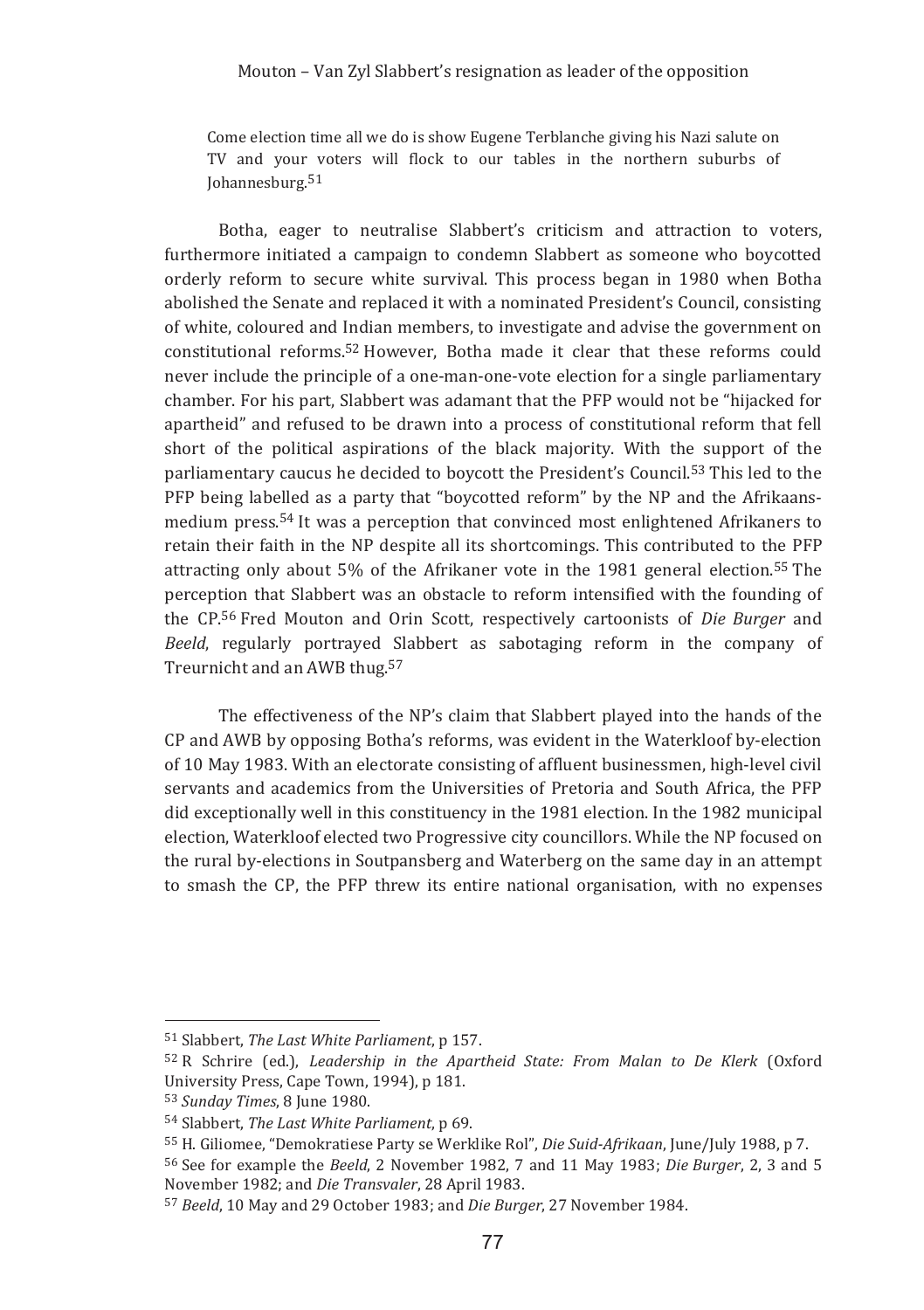Come election time all we do is show Eugene Terblanche giving his Nazi salute on TV and your voters will flock to our tables in the northern suburbs of Johannesburg.<sup>51</sup>

Botha, eager to neutralise Slabbert's criticism and attraction to voters. furthermore initiated a campaign to condemn Slabbert as someone who boycotted orderly reform to secure white survival. This process began in 1980 when Botha abolished the Senate and replaced it with a nominated President's Council, consisting of white, coloured and Indian members, to investigate and advise the government on constitutional reforms.<sup>52</sup> However, Botha made it clear that these reforms could never include the principle of a one-man-one-vote election for a single parliamentary chamber. For his part, Slabbert was adamant that the PFP would not be "hijacked for apartheid" and refused to be drawn into a process of constitutional reform that fell short of the political aspirations of the black majority. With the support of the parliamentary caucus he decided to boycott the President's Council.<sup>53</sup> This led to the PFP being labelled as a party that "boycotted reform" by the NP and the Afrikaansmedium press.<sup>54</sup> It was a perception that convinced most enlightened Afrikaners to retain their faith in the NP despite all its shortcomings. This contributed to the PFP attracting only about 5% of the Afrikaner vote in the 1981 general election.<sup>55</sup> The perception that Slabbert was an obstacle to reform intensified with the founding of the CP.<sup>56</sup> Fred Mouton and Orin Scott, respectively cartoonists of *Die Burger* and *Beeld*, regularly portrayed Slabbert as sabotaging reform in the company of Treurnicht and an AWB thug.<sup>57</sup>

The effectiveness of the NP's claim that Slabbert played into the hands of the CP and AWB by opposing Botha's reforms, was evident in the Waterkloof by-election of 10 May 1983. With an electorate consisting of affluent businessmen, high-level civil servants and academics from the Universities of Pretoria and South Africa, the PFP did exceptionally well in this constituency in the 1981 election. In the 1982 municipal election, Waterkloof elected two Progressive city councillors. While the NP focused on the rural by-elections in Soutpansberg and Waterberg on the same day in an attempt to smash the CP, the PFP threw its entire national organisation, with no expenses

<u> 1989 - Johann Barn, mars ar breithinn ar chuid ann an t-</u>

<sup>&</sup>lt;sup>51</sup> Slabbert, *The Last White Parliament*, p 157.

<sup>&</sup>lt;sup>52</sup> R Schrire (ed.), *Leadership in the Apartheid State: From Malan to De Klerk* (Oxford University Press, Cape Town, 1994), p 181.

<sup>&</sup>lt;sup>53</sup> Sunday Times, 8 June 1980.

<sup>&</sup>lt;sup>54</sup> Slabbert, *The Last White Parliament*, p 69.

<sup>&</sup>lt;sup>55</sup> H. Giliomee, "Demokratiese Party se Werklike Rol", Die Suid-Afrikaan, June/July 1988, p 7.

<sup>&</sup>lt;sup>56</sup> See for example the *Beeld*, 2 November 1982, 7 and 11 May 1983; *Die Burger*, 2, 3 and 5 November 1982; and *Die Transvaler*, 28 April 1983.

<sup>&</sup>lt;sup>57</sup> Beeld, 10 May and 29 October 1983; and *Die Burger*, 27 November 1984.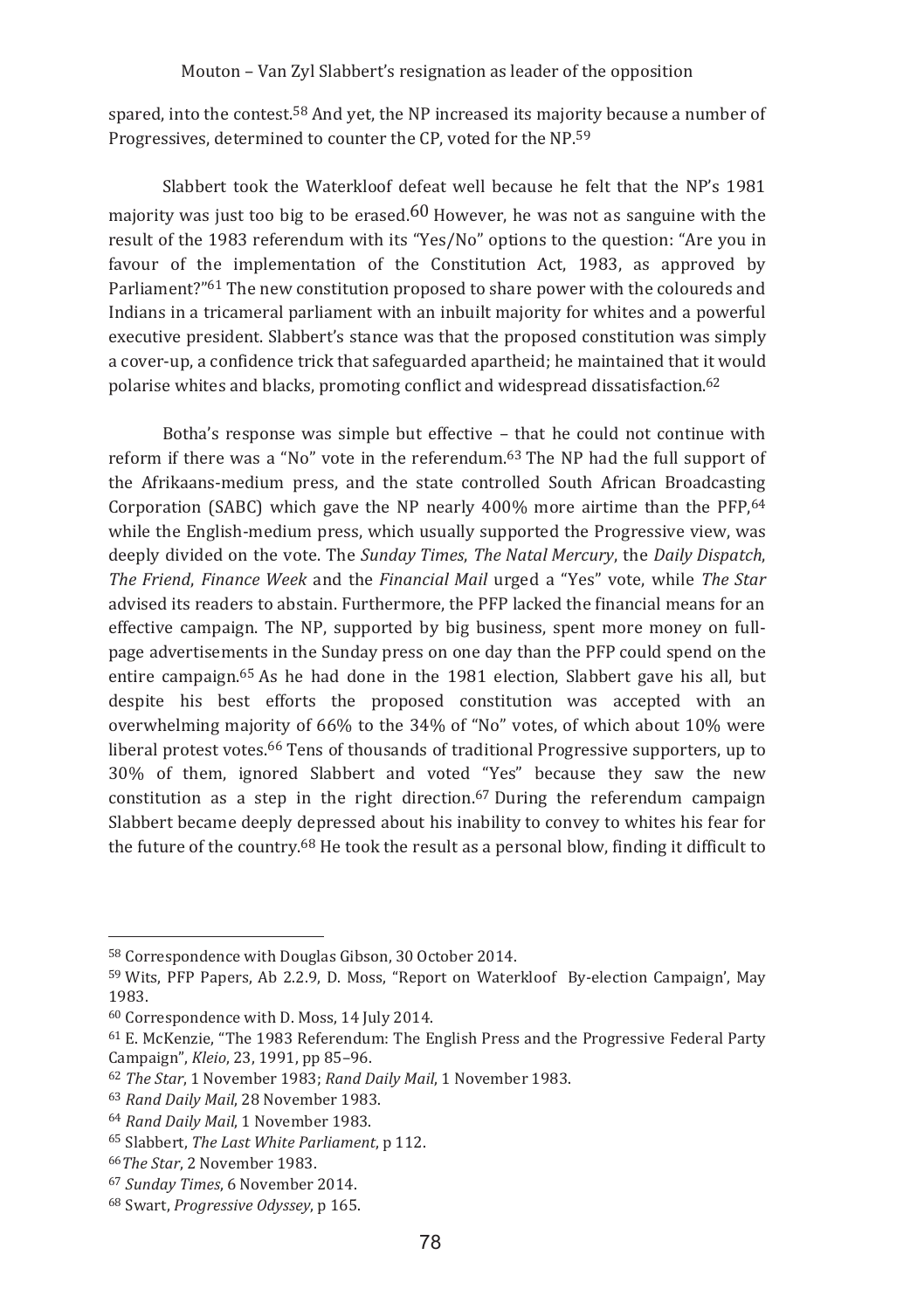spared, into the contest.<sup>58</sup> And yet, the NP increased its majority because a number of Progressives, determined to counter the CP, voted for the NP.<sup>59</sup>

Slabbert took the Waterkloof defeat well because he felt that the NP's 1981 maiority was just too big to be erased.<sup>60</sup> However, he was not as sanguine with the result of the 1983 referendum with its "Yes/No" options to the question: "Are you in favour of the implementation of the Constitution Act, 1983, as approved by Parliament?"<sup>61</sup> The new constitution proposed to share power with the coloureds and Indians in a tricameral parliament with an inbuilt majority for whites and a powerful executive president. Slabbert's stance was that the proposed constitution was simply a cover-up, a confidence trick that safeguarded apartheid; he maintained that it would polarise whites and blacks, promoting conflict and widespread dissatisfaction.<sup>62</sup>

Botha's response was simple but effective – that he could not continue with reform if there was a "No" vote in the referendum.<sup>63</sup> The NP had the full support of the Afrikaans-medium press, and the state controlled South African Broadcasting Corporation (SABC) which gave the NP nearly 400% more airtime than the PFP,  $64$ while the English-medium press, which usually supported the Progressive view, was deeply divided on the vote. The *Sunday Times*, The Natal Mercury, the Daily Dispatch, *The Friend, Finance Week* and the *Financial Mail* urged a "Yes" vote, while *The Star* advised its readers to abstain. Furthermore, the PFP lacked the financial means for an effective campaign. The NP, supported by big business, spent more money on fullpage advertisements in the Sunday press on one day than the PFP could spend on the entire campaign.<sup>65</sup> As he had done in the 1981 election, Slabbert gave his all, but despite his best efforts the proposed constitution was accepted with an overwhelming majority of 66% to the 34% of "No" votes, of which about 10% were liberal protest votes.<sup>66</sup> Tens of thousands of traditional Progressive supporters, up to 30% of them, ignored Slabbert and voted "Yes" because they saw the new constitution as a step in the right direction.<sup>67</sup> During the referendum campaign Slabbert became deeply depressed about his inability to convey to whites his fear for the future of the country.<sup>68</sup> He took the result as a personal blow, finding it difficult to

<sup>&</sup>lt;sup>58</sup> Correspondence with Douglas Gibson, 30 October 2014.

<sup>&</sup>lt;sup>59</sup> Wits, PFP Papers, Ab 2.2.9, D. Moss, "Report on Waterkloof By-election Campaign', May 1983.

<sup>&</sup>lt;sup>60</sup> Correspondence with D. Moss, 14 July 2014.

 $^{61}$  E. McKenzie, "The 1983 Referendum: The English Press and the Progressive Federal Party Campaign", *Kleio, 23, 1991, pp 85–96*.

<sup>&</sup>lt;sup>62</sup> The Star, 1 November 1983; Rand Daily Mail, 1 November 1983.

<sup>&</sup>lt;sup>63</sup> Rand Daily Mail, 28 November 1983.

<sup>&</sup>lt;sup>64</sup> Rand Daily Mail, 1 November 1983.

<sup>&</sup>lt;sup>65</sup> Slabbert, The Last White Parliament, p 112.

<sup>&</sup>lt;sup>66</sup>The Star, 2 November 1983.

<sup>&</sup>lt;sup>67</sup> Sunday Times, 6 November 2014.

<sup>&</sup>lt;sup>68</sup> Swart, *Progressive Odyssey*, p 165.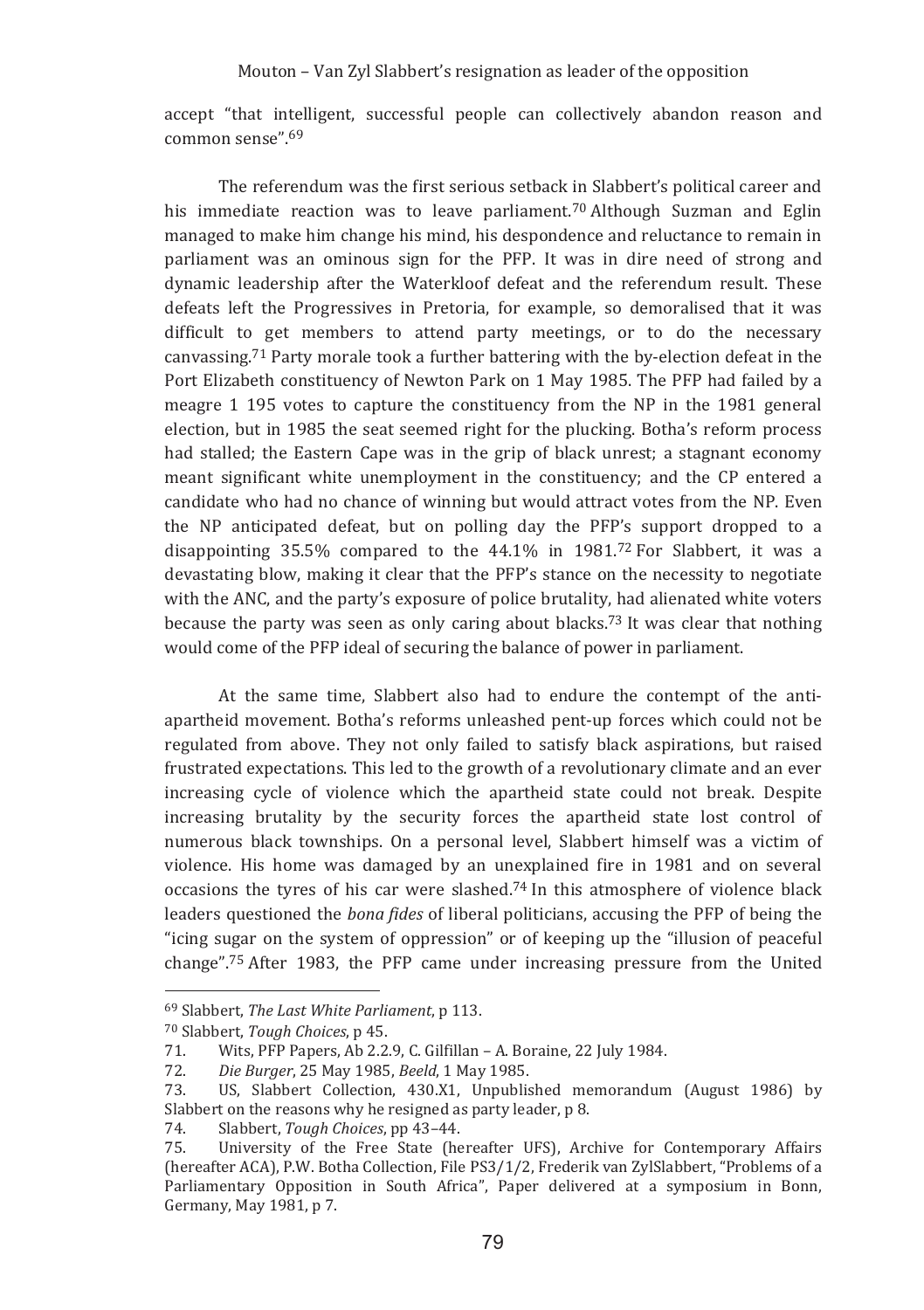accept "that intelligent, successful people can collectively abandon reason and  $common$  sense"  $69$ 

The referendum was the first serious setback in Slabbert's political career and his immediate reaction was to leave parliament.<sup>70</sup> Although Suzman and Eglin managed to make him change his mind, his despondence and reluctance to remain in parliament was an ominous sign for the PFP. It was in dire need of strong and dynamic leadership after the Waterkloof defeat and the referendum result. These defeats left the Progressives in Pretoria, for example, so demoralised that it was difficult to get members to attend party meetings, or to do the necessary canvassing.<sup>71</sup> Party morale took a further battering with the by-election defeat in the Port Elizabeth constituency of Newton Park on 1 May 1985. The PFP had failed by a meagre 1 195 votes to capture the constituency from the NP in the 1981 general election, but in 1985 the seat seemed right for the plucking. Botha's reform process had stalled: the Eastern Cape was in the grip of black unrest: a stagnant economy meant significant white unemployment in the constituency; and the CP entered a candidate who had no chance of winning but would attract votes from the NP. Even the NP anticipated defeat, but on polling day the PFP's support dropped to a disappointing  $35.5\%$  compared to the  $44.1\%$  in  $1981<sup>72</sup>$  For Slabbert, it was a devastating blow, making it clear that the PFP's stance on the necessity to negotiate with the ANC, and the party's exposure of police brutality, had alienated white voters because the party was seen as only caring about blacks.<sup>73</sup> It was clear that nothing would come of the PFP ideal of securing the balance of power in parliament.

At the same time, Slabbert also had to endure the contempt of the antiapartheid movement. Botha's reforms unleashed pent-up forces which could not be regulated from above. They not only failed to satisfy black aspirations, but raised frustrated expectations. This led to the growth of a revolutionary climate and an ever increasing cycle of violence which the apartheid state could not break. Despite increasing brutality by the security forces the apartheid state lost control of numerous black townships. On a personal level, Slabbert himself was a victim of violence. His home was damaged by an unexplained fire in 1981 and on several occasions the tyres of his car were slashed.<sup>74</sup> In this atmosphere of violence black leaders questioned the *bona fides* of liberal politicians, accusing the PFP of being the "icing sugar on the system of oppression" or of keeping up the "illusion of peaceful" change".<sup>75</sup> After 1983, the PFP came under increasing pressure from the United

<sup>&</sup>lt;sup>69</sup> Slabbert, The Last White Parliament, p 113.

<sup>70</sup> Slabbert, Tough Choices, p 45.

Wits, PFP Papers, Ab 2.2.9, C. Gilfillan - A. Boraine, 22 July 1984. 71.

<sup>72.</sup> Die Burger, 25 May 1985, Beeld, 1 May 1985.

US, Slabbert Collection, 430.X1, Unpublished memorandum (August 1986) by 73. Slabbert on the reasons why he resigned as party leader, p 8.

<sup>74.</sup> Slabbert, Tough Choices, pp 43-44.

University of the Free State (hereafter UFS), Archive for Contemporary Affairs 75. (hereafter ACA), P.W. Botha Collection, File PS3/1/2, Frederik van ZylSlabbert, "Problems of a Parliamentary Opposition in South Africa". Paper delivered at a symposium in Bonn. Germany, May 1981, p 7.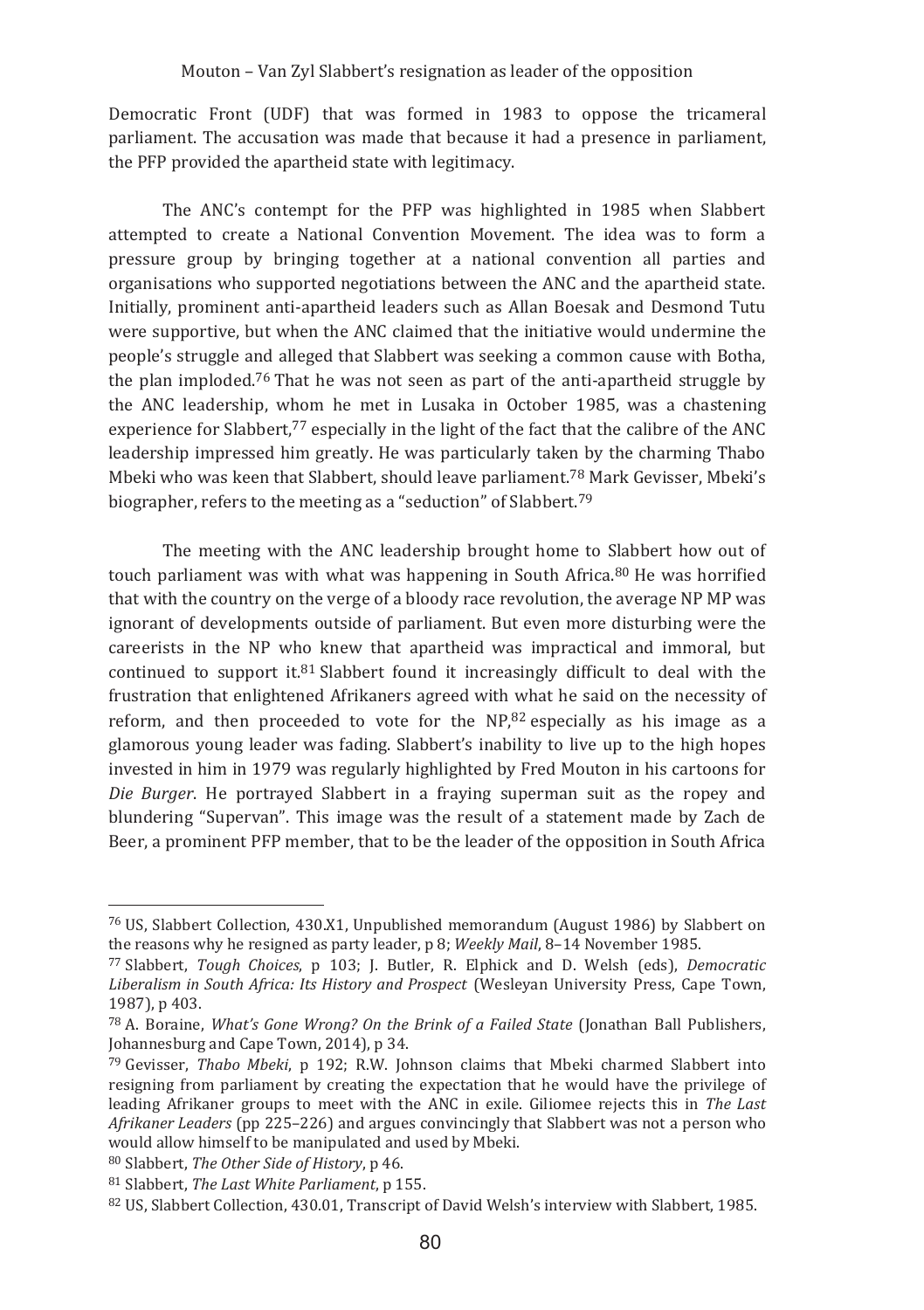Democratic Front (UDF) that was formed in 1983 to oppose the tricameral parliament. The accusation was made that because it had a presence in parliament, the PFP provided the apartheid state with legitimacy.

The ANC's contempt for the PFP was highlighted in 1985 when Slabbert attempted to create a National Convention Movement. The idea was to form a pressure group by bringing together at a national convention all parties and organisations who supported negotiations between the ANC and the apartheid state. Initially, prominent anti-apartheid leaders such as Allan Boesak and Desmond Tutu were supportive, but when the ANC claimed that the initiative would undermine the people's struggle and alleged that Slabbert was seeking a common cause with Botha. the plan imploded.<sup>76</sup> That he was not seen as part of the anti-apartheid struggle by the ANC leadership, whom he met in Lusaka in October 1985, was a chastening experience for Slabbert.<sup>77</sup> especially in the light of the fact that the calibre of the ANC leadership impressed him greatly. He was particularly taken by the charming Thabo Mbeki who was keen that Slabbert, should leave parliament.<sup>78</sup> Mark Gevisser, Mbeki's biographer, refers to the meeting as a "seduction" of Slabbert.<sup>79</sup>

The meeting with the ANC leadership brought home to Slabbert how out of touch parliament was with what was happening in South Africa.<sup>80</sup> He was horrified that with the country on the verge of a bloody race revolution, the average NP MP was ignorant of developments outside of parliament. But even more disturbing were the careerists in the NP who knew that apartheid was impractical and immoral, but continued to support it. $81$  Slabbert found it increasingly difficult to deal with the frustration that enlightened Afrikaners agreed with what he said on the necessity of reform, and then proceeded to vote for the  $NP<sub>182</sub>$  especially as his image as a glamorous young leader was fading. Slabbert's inability to live up to the high hopes invested in him in 1979 was regularly highlighted by Fred Mouton in his cartoons for Die Burger. He portraved Slabbert in a fraving superman suit as the ropey and blundering "Supervan". This image was the result of a statement made by Zach de Beer, a prominent PFP member, that to be the leader of the opposition in South Africa

<sup>80</sup> Slabbert. The Other Side of History, p 46.

<sup>&</sup>lt;sup>76</sup> US, Slabbert Collection, 430.X1, Unpublished memorandum (August 1986) by Slabbert on the reasons why he resigned as party leader, p 8; Weekly Mail, 8-14 November 1985.

<sup>77</sup> Slabbert, Tough Choices, p. 103: J. Butler, R. Elphick and D. Welsh (eds). Democratic Liberalism in South Africa: Its History and Prospect (Wesleyan University Press, Cape Town, 1987). p 403.

<sup>&</sup>lt;sup>78</sup> A. Boraine, *What's Gone Wrong? On the Brink of a Failed State* (Jonathan Ball Publishers, Johannesburg and Cape Town, 2014), p 34.

<sup>&</sup>lt;sup>79</sup> Gevisser, *Thabo Mbeki*, p 192: R.W. Johnson claims that Mbeki charmed Slabbert into resigning from parliament by creating the expectation that he would have the privilege of leading Afrikaner groups to meet with the ANC in exile. Giliomee rejects this in The Last Afrikaner Leaders (pp 225–226) and argues convincingly that Slabbert was not a person who would allow himself to be manipulated and used by Mbeki.

<sup>81</sup> Slabbert, The Last White Parliament, p 155.

<sup>&</sup>lt;sup>82</sup> US, Slabbert Collection, 430.01, Transcript of David Welsh's interview with Slabbert, 1985.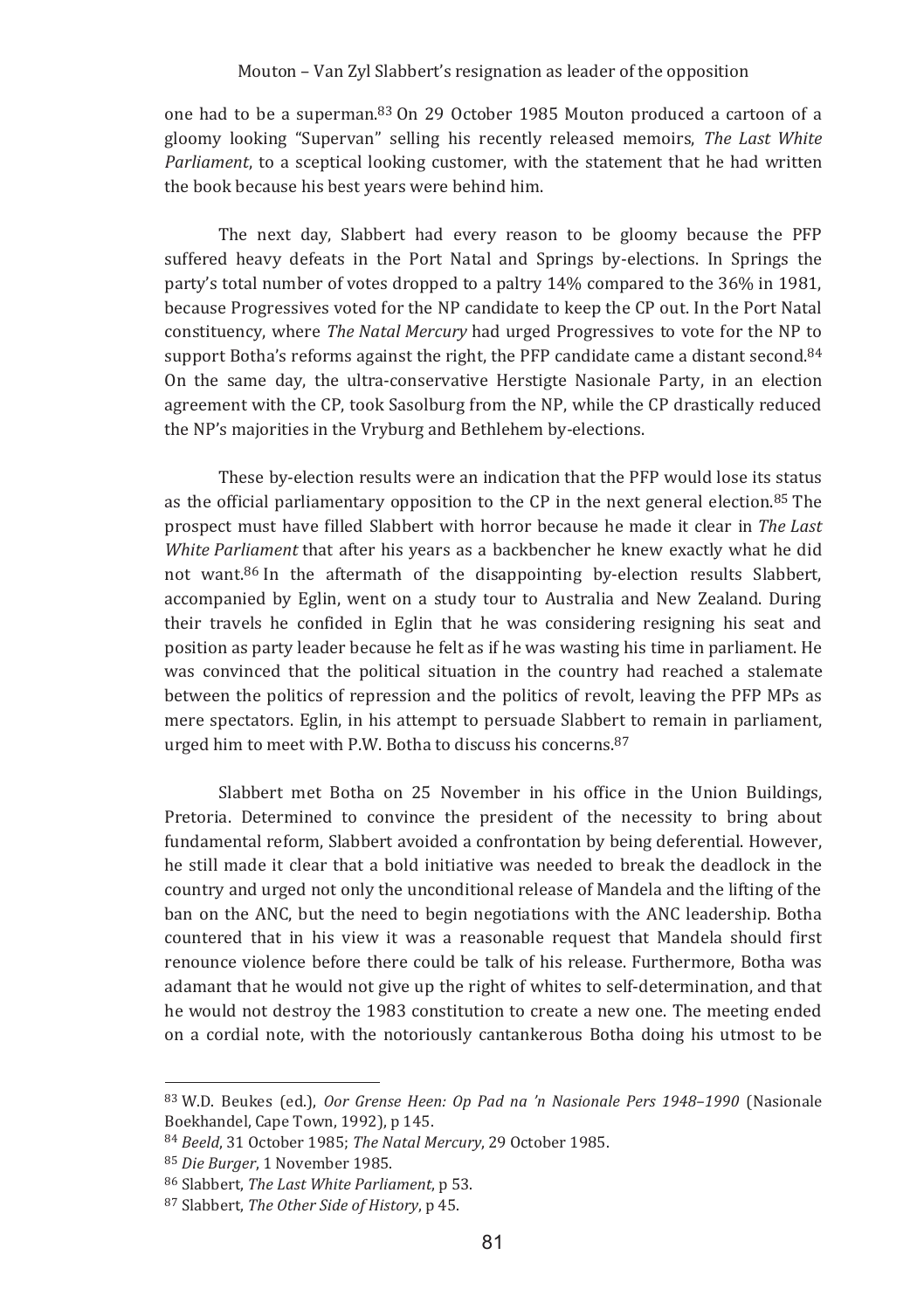one had to be a superman.<sup>83</sup> On 29 October 1985 Mouton produced a cartoon of a gloomy looking "Supervan" selling his recently released memoirs. The Last White *Parliament*, to a sceptical looking customer, with the statement that he had written the book because his best years were behind him.

The next day, Slabbert had every reason to be gloomy because the PFP suffered heavy defeats in the Port Natal and Springs by-elections. In Springs the party's total number of votes dropped to a paltry 14% compared to the 36% in 1981, because Progressives voted for the NP candidate to keep the CP out. In the Port Natal constituency, where The Natal Mercury had urged Progressives to vote for the NP to support Botha's reforms against the right, the PFP candidate came a distant second.<sup>84</sup> On the same day, the ultra-conservative Herstigte Nasionale Party, in an election agreement with the CP, took Sasolburg from the NP, while the CP drastically reduced the NP's majorities in the Vryburg and Bethlehem by-elections.

These by-election results were an indication that the PFP would lose its status as the official parliamentary opposition to the CP in the next general election.<sup>85</sup> The prospect must have filled Slabbert with horror because he made it clear in *The Last White Parliament* that after his years as a backbencher he knew exactly what he did not want.<sup>86</sup> In the aftermath of the disappointing by-election results Slabbert, accompanied by Eglin, went on a study tour to Australia and New Zealand. During their travels he confided in Eglin that he was considering resigning his seat and position as party leader because he felt as if he was wasting his time in parliament. He was convinced that the political situation in the country had reached a stalemate between the politics of repression and the politics of revolt, leaving the PFP MPs as mere spectators. Eglin, in his attempt to persuade Slabbert to remain in parliament, urged him to meet with P.W. Botha to discuss his concerns.<sup>87</sup>

Slabbert met Botha on 25 November in his office in the Union Buildings, Pretoria. Determined to convince the president of the necessity to bring about fundamental reform, Slabbert avoided a confrontation by being deferential. However, he still made it clear that a bold initiative was needed to break the deadlock in the country and urged not only the unconditional release of Mandela and the lifting of the ban on the ANC, but the need to begin negotiations with the ANC leadership. Botha countered that in his view it was a reasonable request that Mandela should first renounce violence before there could be talk of his release. Furthermore, Botha was adamant that he would not give up the right of whites to self-determination, and that he would not destroy the 1983 constitution to create a new one. The meeting ended on a cordial note, with the notoriously cantankerous Botha doing his utmost to be

<sup>83</sup> W.D. Beukes (ed.), Oor Grense Heen: Op Pad na 'n Nasionale Pers 1948–1990 (Nasionale Boekhandel, Cape Town, 1992), p 145.

<sup>&</sup>lt;sup>84</sup> Beeld, 31 October 1985; The Natal Mercury, 29 October 1985.

<sup>&</sup>lt;sup>85</sup> Die Burger, 1 November 1985.

<sup>&</sup>lt;sup>86</sup> Slabbert, *The Last White Parliament*, p.53.

<sup>&</sup>lt;sup>87</sup> Slabbert, *The Other Side of History*, p 45.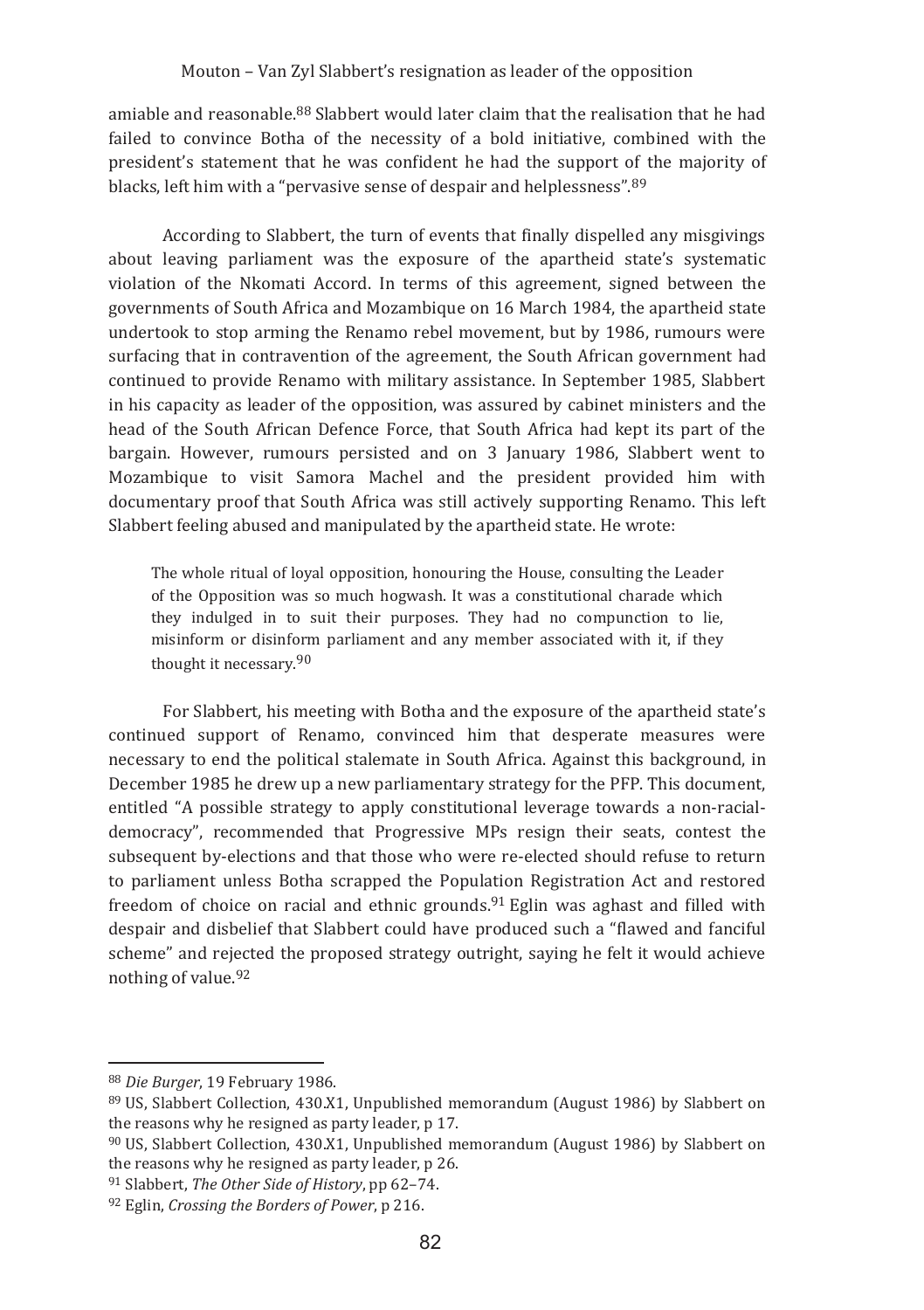amiable and reasonable.<sup>88</sup> Slabbert would later claim that the realisation that he had failed to convince Botha of the necessity of a bold initiative, combined with the president's statement that he was confident he had the support of the majority of blacks, left him with a "pervasive sense of despair and helplessness".<sup>89</sup>

According to Slabbert, the turn of events that finally dispelled any misgivings about leaving parliament was the exposure of the apartheid state's systematic violation of the Nkomati Accord. In terms of this agreement, signed between the governments of South Africa and Mozambique on 16 March 1984, the apartheid state undertook to stop arming the Renamo rebel movement, but by 1986, rumours were surfacing that in contravention of the agreement, the South African government had continued to provide Renamo with military assistance. In September 1985, Slabbert in his capacity as leader of the opposition, was assured by cabinet ministers and the head of the South African Defence Force, that South Africa had kept its part of the bargain. However, rumours persisted and on 3 January 1986. Slabbert went to Mozambique to visit Samora Machel and the president provided him with documentary proof that South Africa was still actively supporting Renamo. This left Slabbert feeling abused and manipulated by the apartheid state. He wrote:

The whole ritual of loyal opposition, honouring the House, consulting the Leader of the Opposition was so much hogwash. It was a constitutional charade which they indulged in to suit their purposes. They had no compunction to lie, misinform or disinform parliament and any member associated with it, if they thought it necessary.<sup>90</sup>

For Slabbert, his meeting with Botha and the exposure of the apartheid state's continued support of Renamo, convinced him that desperate measures were necessary to end the political stalemate in South Africa. Against this background, in December 1985 he drew up a new parliamentary strategy for the PFP. This document, entitled "A possible strategy to apply constitutional leverage towards a non-racialdemocracy", recommended that Progressive MPs resign their seats, contest the subsequent by-elections and that those who were re-elected should refuse to return to parliament unless Botha scrapped the Population Registration Act and restored freedom of choice on racial and ethnic grounds.<sup>91</sup> Eglin was aghast and filled with despair and disbelief that Slabbert could have produced such a "flawed and fanciful" scheme" and rejected the proposed strategy outright, saving he felt it would achieve nothing of value.  $92$ 

<sup>88</sup> Die Burger, 19 February 1986.

<sup>&</sup>lt;sup>89</sup> US. Slabbert Collection, 430.X1. Unpublished memorandum (August 1986) by Slabbert on the reasons why he resigned as party leader, p 17.

<sup>90</sup> US, Slabbert Collection, 430.X1, Unpublished memorandum (August 1986) by Slabbert on the reasons why he resigned as party leader, p 26.

<sup>91</sup> Slabbert, The Other Side of History, pp 62-74.

<sup>92</sup> Eglin, Crossing the Borders of Power, p 216.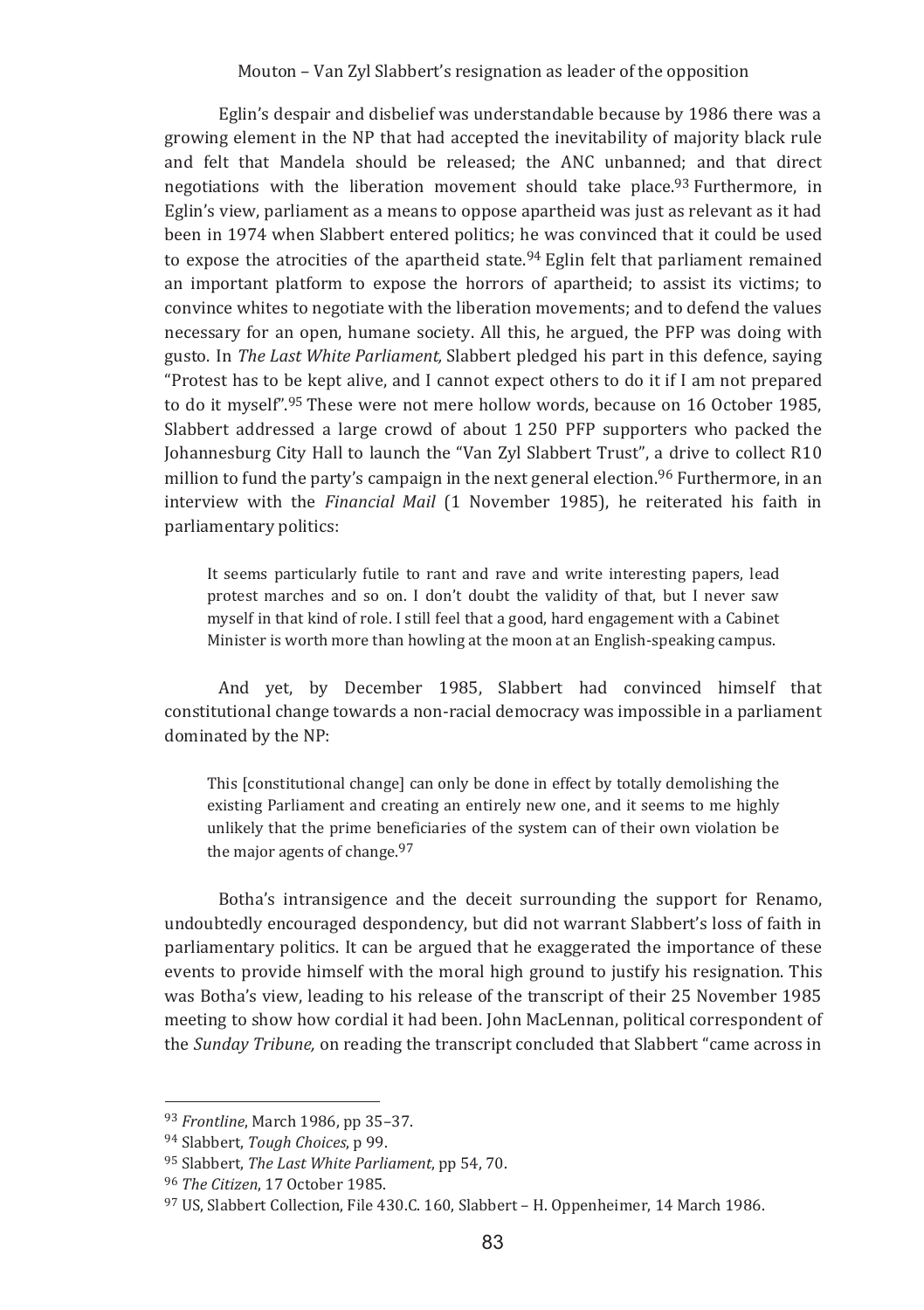Eglin's despair and disbelief was understandable because by 1986 there was a growing element in the NP that had accepted the inevitability of majority black rule and felt that Mandela should be released; the ANC unbanned; and that direct negotiations with the liberation movement should take place.93 Furthermore, in Eglin's view, parliament as a means to oppose apartheid was just as relevant as it had been in 1974 when Slabbert entered politics; he was convinced that it could be used to expose the atrocities of the apartheid state.<sup>94</sup> Eglin felt that parliament remained an important platform to expose the horrors of apartheid; to assist its victims; to convince whites to negotiate with the liberation movements: and to defend the values necessary for an open, humane society. All this, he argued, the PFP was doing with gusto. In The Last White Parliament. Slabbert pledged his part in this defence, saving "Protest has to be kept alive, and I cannot expect others to do it if I am not prepared to do it myself".<sup>95</sup> These were not mere hollow words, because on 16 October 1985, Slabbert addressed a large crowd of about 1250 PFP supporters who packed the Johannesburg City Hall to launch the "Van Zyl Slabbert Trust", a drive to collect R10 million to fund the party's campaign in the next general election.<sup>96</sup> Furthermore, in an interview with the *Financial Mail* (1 November 1985), he reiterated his faith in parliamentary politics:

It seems particularly futile to rant and rave and write interesting papers, lead protest marches and so on. I don't doubt the validity of that, but I never saw myself in that kind of role. I still feel that a good, hard engagement with a Cabinet Minister is worth more than howling at the moon at an English-speaking campus.

And vet, by December 1985, Slabbert had convinced himself that constitutional change towards a non-racial democracy was impossible in a parliament dominated by the NP:

This [constitutional change] can only be done in effect by totally demolishing the existing Parliament and creating an entirely new one, and it seems to me highly unlikely that the prime beneficiaries of the system can of their own violation be the major agents of change.<sup>97</sup>

Botha's intransigence and the deceit surrounding the support for Renamo, undoubtedly encouraged despondency, but did not warrant Slabbert's loss of faith in parliamentary politics. It can be argued that he exaggerated the importance of these events to provide himself with the moral high ground to justify his resignation. This was Botha's view, leading to his release of the transcript of their 25 November 1985 meeting to show how cordial it had been. John MacLennan, political correspondent of the Sunday Tribune, on reading the transcript concluded that Slabbert "came across in

<sup>93</sup> Frontline, March 1986, pp 35-37.

<sup>94</sup> Slabbert, Tough Choices, p 99.

<sup>95</sup> Slabbert. The Last White Parliament. pp 54.70.

<sup>96</sup> The Citizen, 17 October 1985.

<sup>&</sup>lt;sup>97</sup> US. Slabbert Collection, File 430.C. 160, Slabbert - H. Oppenheimer, 14 March 1986.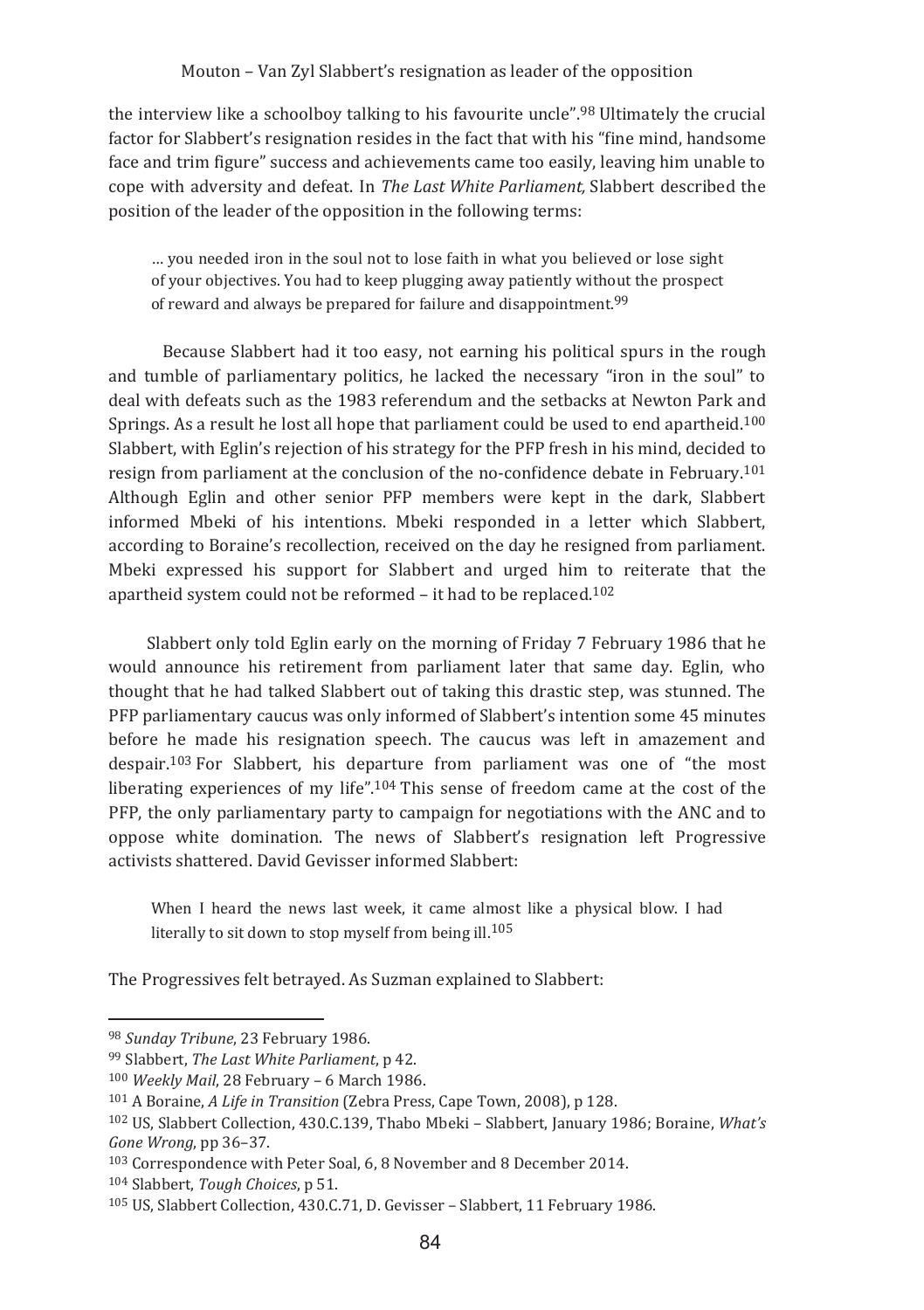the interview like a schoolboy talking to his favourite uncle".<sup>98</sup> Ultimately the crucial factor for Slabbert's resignation resides in the fact that with his "fine mind, handsome face and trim figure" success and achievements came too easily, leaving him unable to cope with adversity and defeat. In *The Last White Parliament,* Slabbert described the position of the leader of the opposition in the following terms:

... you needed fron in the soul not to lose faith in what you believed or lose sight of your objectives. You had to keep plugging away patiently without the prospect of reward and always be prepared for failure and disappointment.<sup>99</sup>

Because Slabbert had it too easy, not earning his political spurs in the rough and tumble of parliamentary politics, he lacked the necessary "iron in the soul" to deal with defeats such as the 1983 referendum and the setbacks at Newton Park and Springs. As a result he lost all hope that parliament could be used to end apartheid.<sup>100</sup> Slabbert, with Eglin's rejection of his strategy for the PFP fresh in his mind, decided to resign from parliament at the conclusion of the no-confidence debate in February.<sup>101</sup> Although Eglin and other senior PFP members were kept in the dark, Slabbert informed Mbeki of his intentions. Mbeki responded in a letter which Slabbert, according to Boraine's recollection, received on the day he resigned from parliament. Mbeki expressed his support for Slabbert and urged him to reiterate that the apartheid system could not be reformed – it had to be replaced.<sup>102</sup>

Slabbert only told Eglin early on the morning of Friday 7 February 1986 that he would announce his retirement from parliament later that same day. Eglin, who thought that he had talked Slabbert out of taking this drastic step, was stunned. The PFP parliamentary caucus was only informed of Slabbert's intention some 45 minutes before he made his resignation speech. The caucus was left in amazement and despair.<sup>103</sup> For Slabbert, his departure from parliament was one of "the most liberating experiences of my life".<sup>104</sup> This sense of freedom came at the cost of the PFP, the only parliamentary party to campaign for negotiations with the ANC and to oppose white domination. The news of Slabbert's resignation left Progressive activists shattered. David Gevisser informed Slabbert:

When I heard the news last week, it came almost like a physical blow. I had literally to sit down to stop myself from being ill.<sup>105</sup>

The Progressives felt betrayed. As Suzman explained to Slabbert:

<u> 1989 - Johann Barn, mars ar breithinn ar chuid ann an t-</u>

<sup>&</sup>lt;sup>98</sup> Sunday Tribune, 23 February 1986.

<sup>&</sup>lt;sup>99</sup> Slabbert, *The Last White Parliament*, p 42.

<sup>&</sup>lt;sup>100</sup> Weekly Mail, 28 February – 6 March 1986.

<sup>&</sup>lt;sup>101</sup> A Boraine, *A Life in Transition* (Zebra Press, Cape Town, 2008), p 128.

<sup>&</sup>lt;sup>102</sup> US, Slabbert Collection, 430.C.139, Thabo Mbeki – Slabbert, January 1986; Boraine, *What's* Gone Wrong, pp 36-37.

 $^{103}$  Correspondence with Peter Soal, 6, 8 November and 8 December 2014.

<sup>104</sup> Slabbert, *Tough Choices*, p 51.

<sup>&</sup>lt;sup>105</sup> US, Slabbert Collection, 430.C.71, D. Gevisser – Slabbert, 11 February 1986.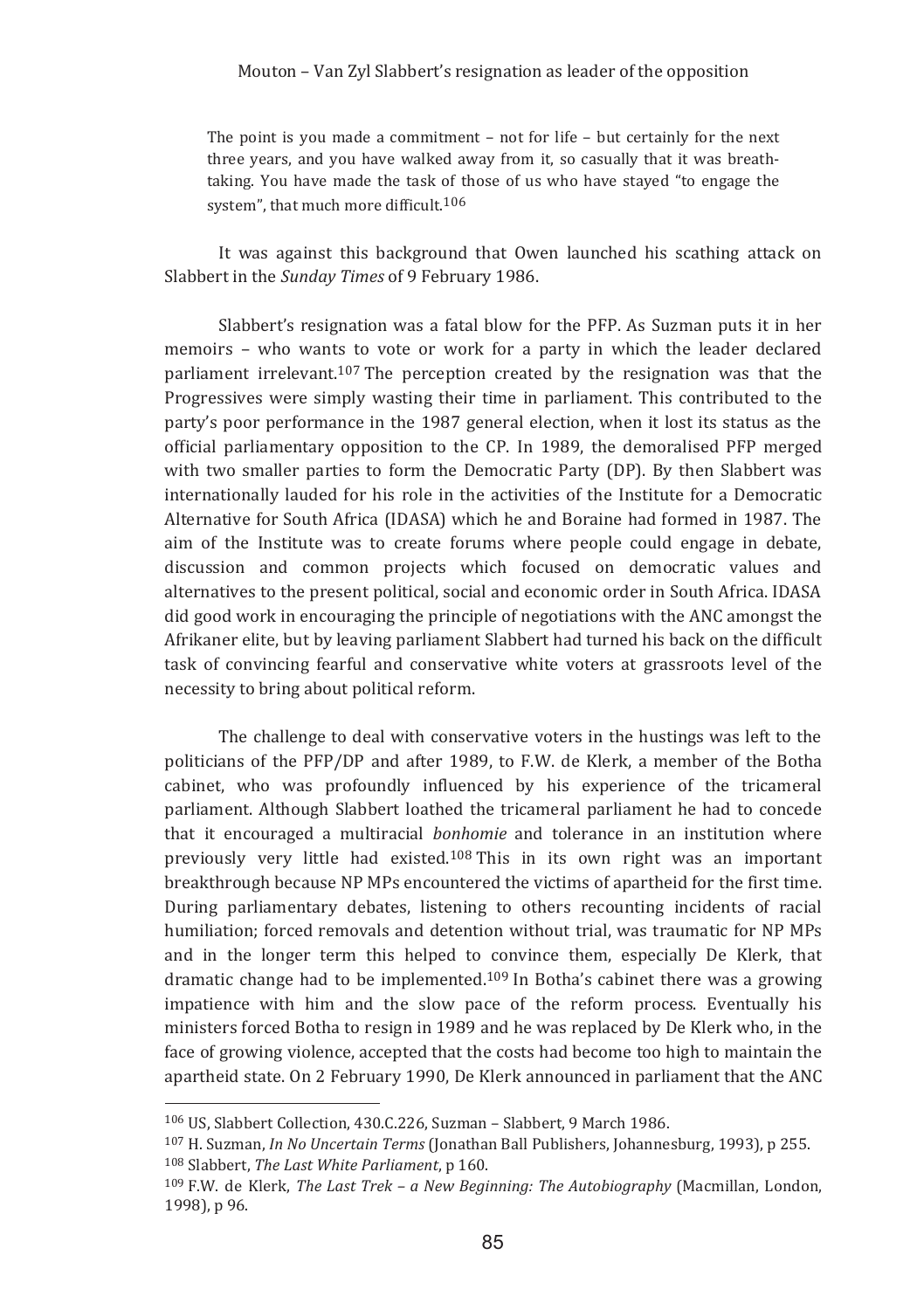The point is you made a commitment  $-$  not for life  $-$  but certainly for the next three years, and you have walked away from it, so casually that it was breathtaking. You have made the task of those of us who have staved "to engage the system", that much more difficult.<sup>106</sup>

It was against this background that Owen launched his scathing attack on Slabbert in the Sunday Times of 9 February 1986.

Slabbert's resignation was a fatal blow for the PFP. As Suzman puts it in her memoirs - who wants to vote or work for a party in which the leader declared parliament irrelevant.<sup>107</sup> The perception created by the resignation was that the Progressives were simply wasting their time in parliament. This contributed to the party's poor performance in the 1987 general election, when it lost its status as the official parliamentary opposition to the CP. In 1989, the demoralised PFP merged with two smaller parties to form the Democratic Party (DP). By then Slabbert was internationally lauded for his role in the activities of the Institute for a Democratic Alternative for South Africa (IDASA) which he and Boraine had formed in 1987. The aim of the Institute was to create forums where people could engage in debate, discussion and common projects which focused on democratic values and alternatives to the present political, social and economic order in South Africa, IDASA did good work in encouraging the principle of negotiations with the ANC amongst the Afrikaner elite, but by leaving parliament Slabbert had turned his back on the difficult task of convincing fearful and conservative white voters at grassroots level of the necessity to bring about political reform.

The challenge to deal with conservative voters in the hustings was left to the politicians of the PFP/DP and after 1989, to F.W. de Klerk, a member of the Botha cabinet, who was profoundly influenced by his experience of the tricameral parliament. Although Slabbert loathed the tricameral parliament he had to concede that it encouraged a multiracial *bonhomie* and tolerance in an institution where previously very little had existed.<sup>108</sup> This in its own right was an important breakthrough because NP MPs encountered the victims of apartheid for the first time. During parliamentary debates, listening to others recounting incidents of racial humiliation; forced removals and detention without trial, was traumatic for NP MPs and in the longer term this helped to convince them, especially De Klerk, that dramatic change had to be implemented.<sup>109</sup> In Botha's cabinet there was a growing impatience with him and the slow pace of the reform process. Eventually his ministers forced Botha to resign in 1989 and he was replaced by De Klerk who, in the face of growing violence, accepted that the costs had become too high to maintain the apartheid state. On 2 February 1990, De Klerk announced in parliament that the ANC

<sup>106</sup> U.S. Slabbert Collection, 430.C.226, Suzman - Slabbert, 9 March 1986.

<sup>107</sup> H. Suzman, In No Uncertain Terms (Jonathan Ball Publishers, Johannesburg, 1993), p 255. <sup>108</sup> Slabbert. The Last White Parliament. p 160.

 $109$  F.W. de Klerk, The Last Trek - a New Beginning: The Autobiography (Macmillan, London, 1998), p 96.